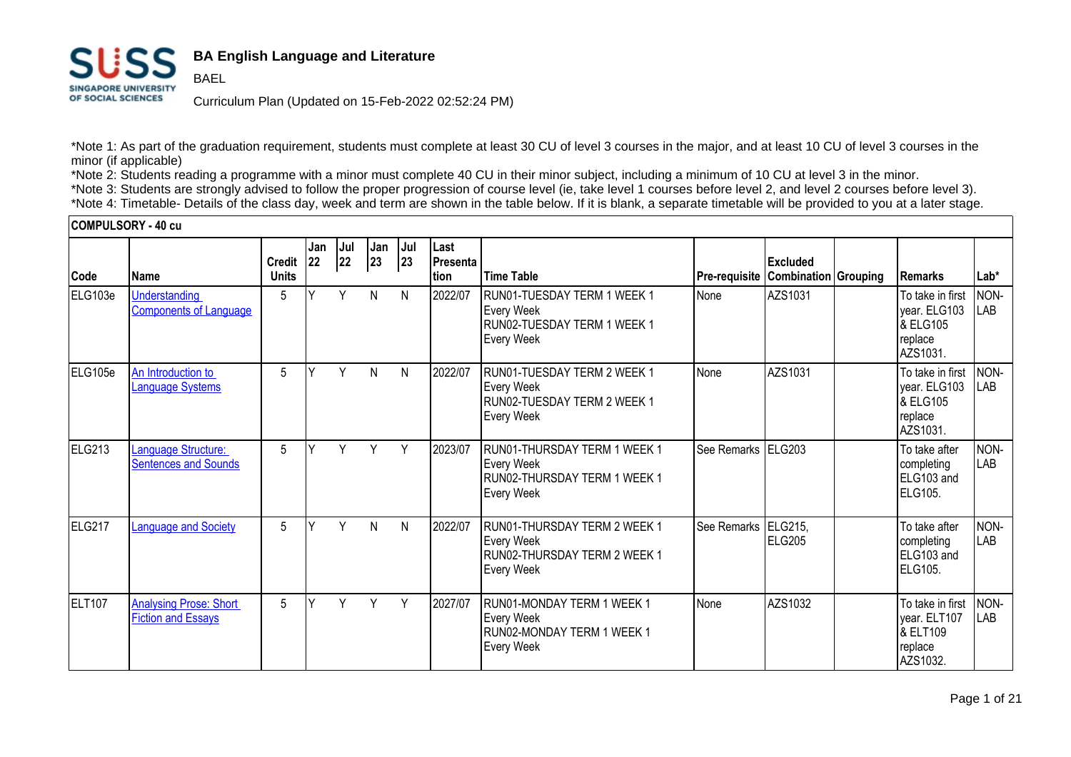

**BAEL** 

## **BA English Language and Literature**

Curriculum Plan (Updated on 15-Feb-2022 02:52:24 PM)

\*Note 1: As part of the graduation requirement, students must complete at least 30 CU of level 3 courses in the major, and at least 10 CU of level 3 courses in the minor (if applicable)

\*Note 2: Students reading a programme with a minor must complete 40 CU in their minor subject, including a minimum of 10 CU at level 3 in the minor.

\*Note 3: Students are strongly advised to follow the proper progression of course level (ie, take level 1 courses before level 2, and level 2 courses before level 3). \*Note 4: Timetable- Details of the class day, week and term are shown in the table below. If it is blank, a separate timetable will be provided to you at a later stage.

#### **COMPULSORY - 40 cu**

|               |                                                            |                               | Jan       | Jul | Jan          | Jul | Last                    |                                                                                                        |                                    |                   |                                                                                |                    |
|---------------|------------------------------------------------------------|-------------------------------|-----------|-----|--------------|-----|-------------------------|--------------------------------------------------------------------------------------------------------|------------------------------------|-------------------|--------------------------------------------------------------------------------|--------------------|
| Code          | <b>Name</b>                                                | <b>Credit</b><br><b>Units</b> | <b>22</b> | 22  | 23           | 23  | <b>Presenta</b><br>tion | <b>Time Table</b>                                                                                      | Pre-requisite Combination Grouping | Excluded          | <b>Remarks</b>                                                                 | Lab*               |
| ELG103e       | <b>Understanding</b><br><b>Components of Language</b>      | 5                             | v         | Y   | N            | N   | 2022/07                 | RUN01-TUESDAY TERM 1 WEEK 1<br><b>Every Week</b><br>RUN02-TUESDAY TERM 1 WEEK 1<br><b>Every Week</b>   | None                               | AZS1031           | To take in first<br>year. ELG103<br><b>&amp; ELG105</b><br>replace<br>AZS1031. | NON-<br><b>LAB</b> |
| ELG105e       | An Introduction to<br><b>Language Systems</b>              | 5                             |           | Y   | $\mathsf{N}$ | N   | 2022/07                 | RUN01-TUESDAY TERM 2 WEEK 1<br><b>Every Week</b><br>RUN02-TUESDAY TERM 2 WEEK 1<br><b>Every Week</b>   | None                               | AZS1031           | To take in first<br>year. ELG103<br><b>&amp; ELG105</b><br>replace<br>AZS1031. | NON-<br>LAB        |
| ELG213        | Language Structure:<br><b>Sentences and Sounds</b>         | 5                             | $\vee$    | Y   | Y            | Y   | 2023/07                 | RUN01-THURSDAY TERM 1 WEEK 1<br><b>Every Week</b><br>RUN02-THURSDAY TERM 1 WEEK 1<br><b>Every Week</b> | See Remarks ELG203                 |                   | To take after<br>completing<br>ELG103 and<br>IELG105.                          | NON-<br><b>LAB</b> |
| ELG217        | <b>Language and Society</b>                                | 5                             | $\vee$    | Y   | N            | N   | 2022/07                 | RUN01-THURSDAY TERM 2 WEEK 1<br><b>Every Week</b><br>RUN02-THURSDAY TERM 2 WEEK 1<br><b>Every Week</b> | See Remarks                        | ELG215,<br>ELG205 | To take after<br>completing<br>ELG103 and<br>ELG105.                           | NON-<br>LAB        |
| <b>ELT107</b> | <b>Analysing Prose: Short</b><br><b>Fiction and Essays</b> | 5                             | v         | Y   | Y            | Y   | 2027/07                 | RUN01-MONDAY TERM 1 WEEK 1<br><b>Every Week</b><br>RUN02-MONDAY TERM 1 WEEK 1<br><b>Every Week</b>     | None                               | AZS1032           | To take in first<br>year. ELT107<br><b>8 ELT109</b><br>replace<br>AZS1032.     | NON-<br>LAB        |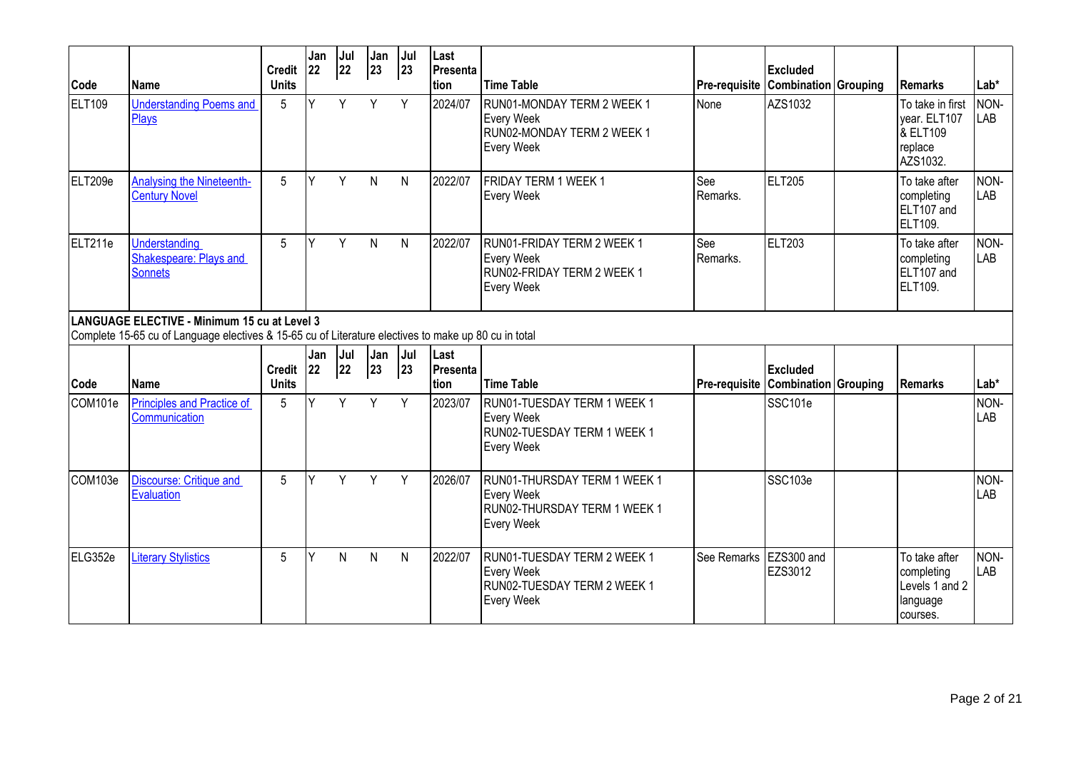| Code          | <b>IName</b>                                                                                                                                         | <b>Credit</b><br><b>Units</b> | Jan<br>22 | Jul<br>22 | Jan<br>$ 23\rangle$ | Jul<br>23    | Last<br><b>Presenta</b><br>Ition | <b>Time Table</b>                                                                                      | Pre-requisite   | <b>Excluded</b><br><b>Combination Grouping</b> | l Remarks                                                           | $Lab*$      |
|---------------|------------------------------------------------------------------------------------------------------------------------------------------------------|-------------------------------|-----------|-----------|---------------------|--------------|----------------------------------|--------------------------------------------------------------------------------------------------------|-----------------|------------------------------------------------|---------------------------------------------------------------------|-------------|
| <b>ELT109</b> | <b>Understanding Poems and</b><br>Plays                                                                                                              | 5                             | Y         | Y         | Y                   | Y            | 2024/07                          | RUN01-MONDAY TERM 2 WEEK 1<br><b>Every Week</b><br>RUN02-MONDAY TERM 2 WEEK 1<br><b>Every Week</b>     | None            | AZS1032                                        | To take in first<br>vear. ELT107<br>& ELT109<br>replace<br>AZS1032. | NON-<br>LAB |
| ELT209e       | <b>Analysing the Nineteenth-</b><br><b>Century Novel</b>                                                                                             | $5\phantom{.0}$               | Y         | Y         | $\mathsf{N}$        | N            | 2022/07                          | FRIDAY TERM 1 WEEK 1<br><b>Every Week</b>                                                              | See<br>Remarks. | ELT205                                         | To take after<br>completing<br>ELT107 and<br>ELT109.                | NON-<br>LAB |
| ELT211e       | Understanding<br>Shakespeare: Plays and<br>Sonnets                                                                                                   | 5                             | Y         | Y         | $\mathsf{N}$        | $\mathsf{N}$ | 2022/07                          | RUN01-FRIDAY TERM 2 WEEK 1<br><b>Every Week</b><br>RUN02-FRIDAY TERM 2 WEEK 1<br><b>Every Week</b>     | See<br>Remarks. | ELT203                                         | To take after<br>completing<br>ELT107 and<br>ELT109.                | NON-<br>LAB |
|               | LANGUAGE ELECTIVE - Minimum 15 cu at Level 3<br>Complete 15-65 cu of Language electives & 15-65 cu of Literature electives to make up 80 cu in total |                               |           |           |                     |              |                                  |                                                                                                        |                 |                                                |                                                                     |             |
|               |                                                                                                                                                      |                               |           |           |                     |              |                                  |                                                                                                        |                 |                                                |                                                                     |             |
| Code          | <b>IName</b>                                                                                                                                         | <b>Credit</b><br><b>Units</b> | Jan<br>22 | Jul<br>22 | Jan<br>23           | Jul<br> 23   | Last<br>Presenta<br>Ition        | <b>Time Table</b>                                                                                      | Pre-requisite   | <b>Excluded</b><br><b>Combination Grouping</b> | l Remarks                                                           | Lab*        |
| COM101e       | <b>Principles and Practice of</b><br>Communication                                                                                                   | 5                             | Υ         | Y         | Y                   | Y            | 2023/07                          | RUN01-TUESDAY TERM 1 WEEK 1<br><b>Every Week</b><br>RUN02-TUESDAY TERM 1 WEEK 1<br><b>Every Week</b>   |                 | SSC101e                                        |                                                                     | NON-<br>LAB |
| COM103e       | <b>Discourse: Critique and</b><br>Evaluation                                                                                                         | 5                             | Y         | Y         | Y                   | Y            | 2026/07                          | RUN01-THURSDAY TERM 1 WEEK 1<br><b>Every Week</b><br>RUN02-THURSDAY TERM 1 WEEK 1<br><b>Every Week</b> |                 | SSC103e                                        |                                                                     | NON-<br>LAB |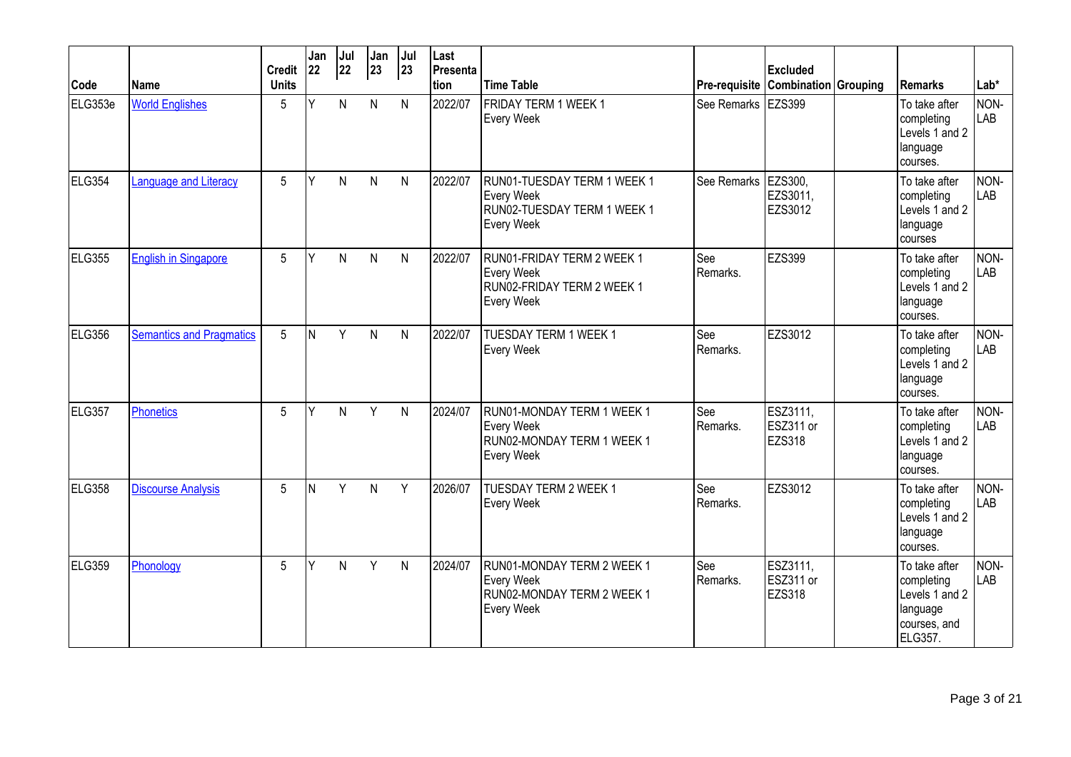| Code    | lName                           | <b>Credit</b><br><b>Units</b> | Jan<br>22 | Jul<br>22 | Jan<br>23    | Jul<br> 23   | Last<br>Presenta<br>Ition | <b>Time Table</b>                                                                                  |                      | <b>Excluded</b><br>Pre-requisite Combination Grouping | l Remarks                                                                            | $Lab*$             |
|---------|---------------------------------|-------------------------------|-----------|-----------|--------------|--------------|---------------------------|----------------------------------------------------------------------------------------------------|----------------------|-------------------------------------------------------|--------------------------------------------------------------------------------------|--------------------|
| ELG353e | <b>World Englishes</b>          | 5                             | Y         | N         | N            | $\mathsf{N}$ | 2022/07                   | FRIDAY TERM 1 WEEK 1<br><b>Every Week</b>                                                          | See Remarks   EZS399 |                                                       | To take after<br>completing<br>Levels 1 and 2<br>language<br>courses.                | NON-<br>LAB        |
| ELG354  | <b>Language and Literacy</b>    | 5                             | Υ         | N         | N            | N            | 2022/07                   | RUN01-TUESDAY TERM 1 WEEK 1<br><b>Every Week</b><br>RUN02-TUESDAY TERM 1 WEEK 1<br>Every Week      | See Remarks          | EZS300.<br>EZS3011,<br>EZS3012                        | To take after<br>completing<br>Levels 1 and 2<br>language<br>courses                 | NON-<br>LAB        |
| ELG355  | <b>English in Singapore</b>     | $5\phantom{.0}$               | Υ         | N         | $\mathsf{N}$ | $\mathsf{N}$ | 2022/07                   | RUN01-FRIDAY TERM 2 WEEK 1<br><b>Every Week</b><br>RUN02-FRIDAY TERM 2 WEEK 1<br><b>Every Week</b> | See<br>Remarks.      | <b>EZS399</b>                                         | To take after<br>completing<br>Levels 1 and 2<br>language<br>courses.                | NON-<br>LAB        |
| ELG356  | <b>Semantics and Pragmatics</b> | 5                             | İΝ        | Y         | $\mathsf{N}$ | $\mathsf{N}$ | 2022/07                   | <b>TUESDAY TERM 1 WEEK 1</b><br><b>Every Week</b>                                                  | See<br>Remarks.      | EZS3012                                               | To take after<br>completing<br>Levels 1 and 2<br>language<br>courses.                | NON-<br><b>LAB</b> |
| ELG357  | Phonetics                       | $5\phantom{.0}$               | Υ         | N.        | Y            | $\mathsf{N}$ | 2024/07                   | RUN01-MONDAY TERM 1 WEEK 1<br><b>Every Week</b><br>RUN02-MONDAY TERM 1 WEEK 1<br><b>Every Week</b> | See<br>Remarks.      | ESZ3111,<br>ESZ311 or<br><b>EZS318</b>                | To take after<br>completing<br>Levels 1 and 2<br>language<br>courses.                | NON-<br><b>LAB</b> |
| ELG358  | <b>Discourse Analysis</b>       | 5                             | N         | Y         | $\mathsf{N}$ | Y            | 2026/07                   | TUESDAY TERM 2 WEEK 1<br><b>Every Week</b>                                                         | See<br>Remarks.      | EZS3012                                               | To take after<br>completing<br>Levels 1 and 2<br>language<br>courses.                | NON-<br>LAB        |
| ELG359  | Phonology                       | 5                             | Υ         | N         | Y            | $\mathsf{N}$ | 2024/07                   | RUN01-MONDAY TERM 2 WEEK 1<br><b>Every Week</b><br>RUN02-MONDAY TERM 2 WEEK 1<br><b>Every Week</b> | See<br>Remarks.      | ESZ3111,<br>ESZ311 or<br><b>EZS318</b>                | To take after<br>completing<br>Levels 1 and 2<br>language<br>courses, and<br>ELG357. | NON-<br><b>LAB</b> |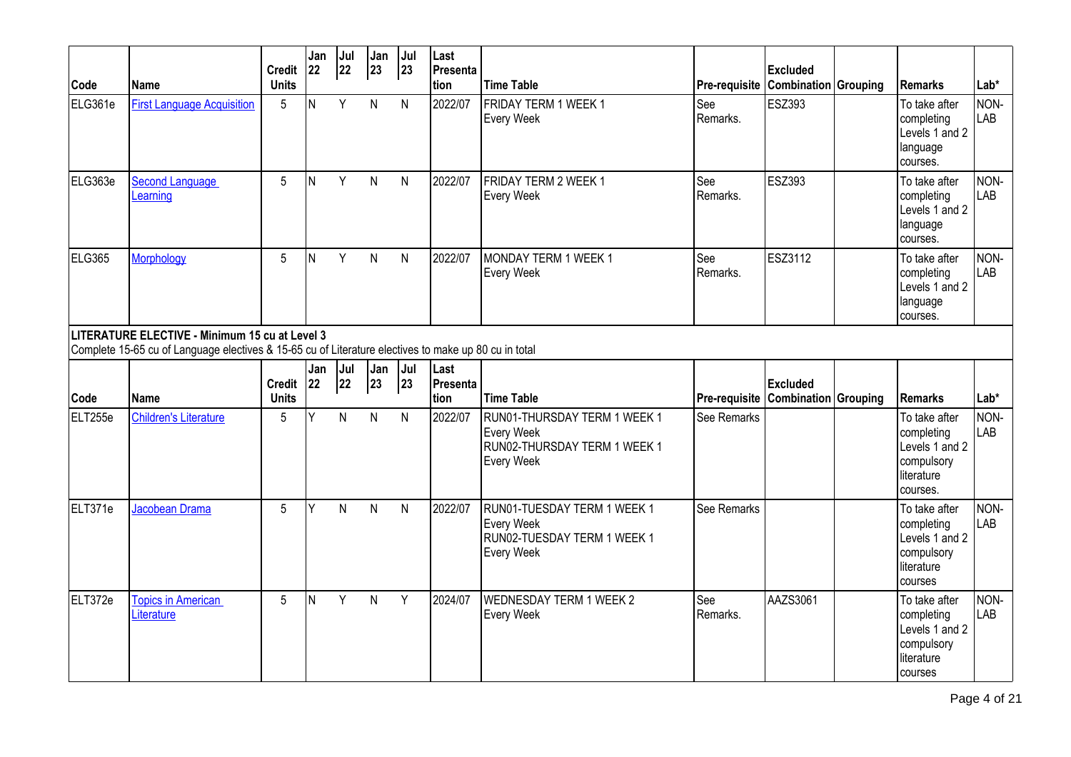| Code    | <b>Name</b>                                                                                                                                            | <b>Credit</b><br><b>Units</b> | Jan<br>22 | Jul<br>22 | Jan<br>$\boxed{23}$ | Jul<br> 23    | Last<br>Presenta<br>tion  | <b>Time Table</b>                                                                                      |                 | <b>Excluded</b><br><b>Pre-requisite Combination Grouping</b> | Remarks                                                                               | $Lab*$             |
|---------|--------------------------------------------------------------------------------------------------------------------------------------------------------|-------------------------------|-----------|-----------|---------------------|---------------|---------------------------|--------------------------------------------------------------------------------------------------------|-----------------|--------------------------------------------------------------|---------------------------------------------------------------------------------------|--------------------|
| ELG361e | <b>First Language Acquisition</b>                                                                                                                      | 5                             | N         | Y         | N                   | N             | 2022/07                   | <b>FRIDAY TERM 1 WEEK 1</b><br><b>Every Week</b>                                                       | See<br>Remarks. | <b>ESZ393</b>                                                | To take after<br>completing<br>Levels 1 and 2<br>language<br>courses.                 | NON-<br><b>LAB</b> |
| ELG363e | <b>Second Language</b><br>Learning                                                                                                                     | 5                             | ΙN        | Y         | $\mathsf{N}$        | N             | 2022/07                   | FRIDAY TERM 2 WEEK 1<br><b>Every Week</b>                                                              | See<br>Remarks. | <b>ESZ393</b>                                                | To take after<br>completing<br>Levels 1 and 2<br>language<br>courses.                 | NON-<br>LAB        |
| ELG365  | <b>Morphology</b>                                                                                                                                      | 5                             | İΝ        | Y         | $\mathsf{N}$        | N             | 2022/07                   | MONDAY TERM 1 WEEK 1<br><b>Every Week</b>                                                              | See<br>Remarks. | <b>ESZ3112</b>                                               | To take after<br>completing<br>Levels 1 and 2<br>language<br>courses.                 | NON-<br><b>LAB</b> |
|         | LITERATURE ELECTIVE - Minimum 15 cu at Level 3<br>Complete 15-65 cu of Language electives & 15-65 cu of Literature electives to make up 80 cu in total |                               |           |           |                     |               |                           |                                                                                                        |                 |                                                              |                                                                                       |                    |
| Code    | <b>Name</b>                                                                                                                                            | Credit 22<br><b>Units</b>     | Jan       | Jul<br>22 | Jan<br>23           | $ $ Jul<br>23 | Last<br>Presenta<br>Ition | <b>Time Table</b>                                                                                      |                 | <b>Excluded</b><br><b>Pre-requisite Combination Grouping</b> | l Remarks                                                                             | Lab*               |
| ELT255e | <b>Children's Literature</b>                                                                                                                           | 5                             | Y         | N         | N                   | $\mathsf{N}$  | 2022/07                   | RUN01-THURSDAY TERM 1 WEEK 1<br><b>Every Week</b><br>RUN02-THURSDAY TERM 1 WEEK 1<br><b>Every Week</b> | See Remarks     |                                                              | To take after<br>completing<br>Levels 1 and 2<br>compulsory<br>literature<br>courses. | NON-<br><b>LAB</b> |
| ELT371e | Jacobean Drama                                                                                                                                         | $5\phantom{.0}$               | Υ         | N         | $\mathsf{N}$        | $\mathsf{N}$  | 2022/07                   | RUN01-TUESDAY TERM 1 WEEK 1<br><b>Every Week</b><br>RUN02-TUESDAY TERM 1 WEEK 1<br><b>Every Week</b>   | See Remarks     |                                                              | To take after<br>completing<br>Levels 1 and 2<br>compulsory<br>literature<br>courses  | NON-<br>LAB        |
| ELT372e | <b>Topics in American</b><br>Literature                                                                                                                | 5                             | N         | Y         | $\mathsf{N}$        | Y             | 2024/07                   | <b>WEDNESDAY TERM 1 WEEK 2</b><br><b>Every Week</b>                                                    | See<br>Remarks. | AAZS3061                                                     | To take after<br>completing<br>Levels 1 and 2<br>compulsory<br>literature<br>courses  | NON-<br>LAB        |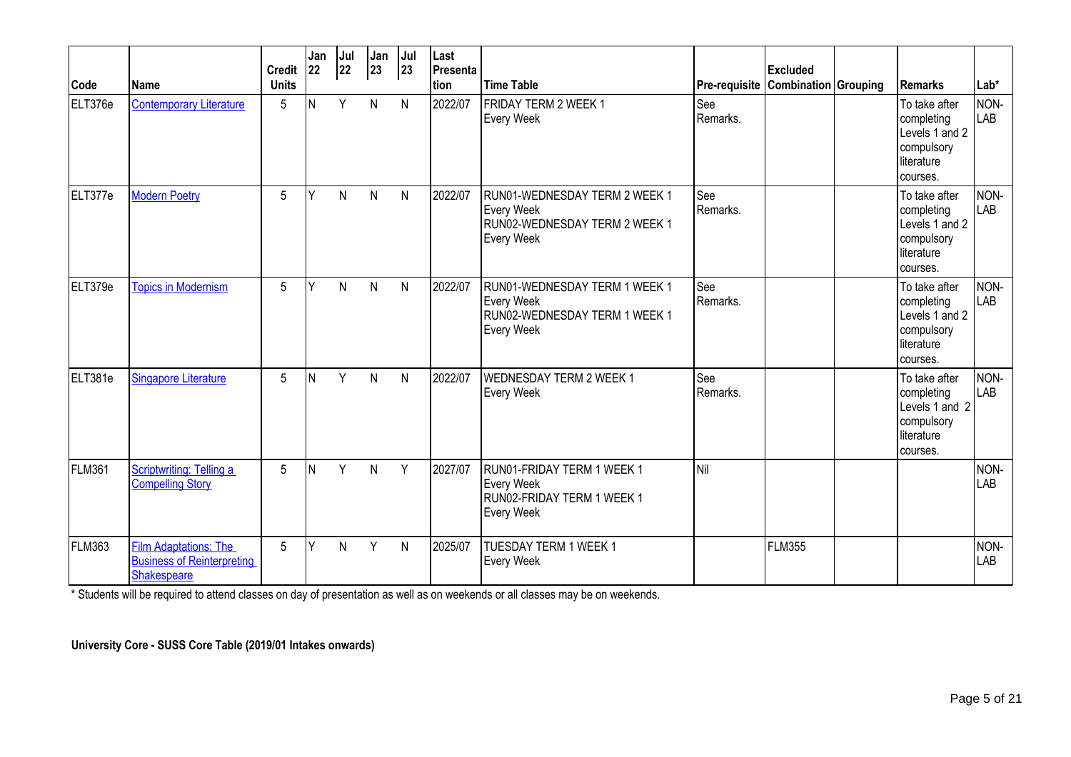| Code    | <b>IName</b>                                                                     | Credit 22<br><b>Units</b> | Jan | Jul<br>22    | Jan<br>23    | Jul<br>23    | Last<br>Presenta<br>tion | <b>Time Table</b>                                                                                        | Pre-requisite Combination Grouping | <b>Excluded</b> | <b>Remarks</b>                                                                        | Lab*               |
|---------|----------------------------------------------------------------------------------|---------------------------|-----|--------------|--------------|--------------|--------------------------|----------------------------------------------------------------------------------------------------------|------------------------------------|-----------------|---------------------------------------------------------------------------------------|--------------------|
| ELT376e | <b>Contemporary Literature</b>                                                   | 5                         | N   | Y            | N            | N            | 2022/07                  | <b>FRIDAY TERM 2 WEEK 1</b><br><b>Every Week</b>                                                         | See<br>Remarks.                    |                 | To take after<br>completing<br>Levels 1 and 2<br>compulsory<br>literature<br>courses. | NON-<br>LAB        |
| ELT377e | <b>Modern Poetry</b>                                                             | 5                         | ٧   | $\mathsf{N}$ | N            | $\mathsf{N}$ | 2022/07                  | RUN01-WEDNESDAY TERM 2 WEEK 1<br>Every Week<br>RUN02-WEDNESDAY TERM 2 WEEK 1<br>Every Week               | See<br>Remarks.                    |                 | To take after<br>completing<br>Levels 1 and 2<br>compulsory<br>literature<br>courses. | NON-<br><b>LAB</b> |
| ELT379e | <b>Topics in Modernism</b>                                                       | 5                         | Y   | N.           | $\mathsf{N}$ | $\mathsf{N}$ | 2022/07                  | RUN01-WEDNESDAY TERM 1 WEEK 1<br><b>Every Week</b><br>RUN02-WEDNESDAY TERM 1 WEEK 1<br><b>Every Week</b> | See<br>Remarks.                    |                 | To take after<br>completing<br>Levels 1 and 2<br>compulsory<br>literature<br>courses. | NON-<br>LAB        |
| ELT381e | <b>Singapore Literature</b>                                                      | 5                         | N   | Y            | N            | N            | 2022/07                  | WEDNESDAY TERM 2 WEEK 1<br><b>Every Week</b>                                                             | See<br>Remarks.                    |                 | To take after<br>completing<br>Levels 1 and 2<br>compulsory<br>literature<br>courses. | NON-<br>LAB        |
| FLM361  | Scriptwriting: Telling a<br><b>Compelling Story</b>                              | 5                         | N   | Y            | N            | Y            | 2027/07                  | <b>RUN01-FRIDAY TERM 1 WEEK 1</b><br><b>Every Week</b><br>RUN02-FRIDAY TERM 1 WEEK 1<br>Every Week       | <b>Nil</b>                         |                 |                                                                                       | NON-<br>LAB        |
| FLM363  | <b>Film Adaptations: The</b><br><b>Business of Reinterpreting</b><br>Shakespeare | 5                         | Y   | N.           | Y            | N            | 2025/07                  | <b>TUESDAY TERM 1 WEEK 1</b><br><b>Every Week</b>                                                        |                                    | <b>FLM355</b>   |                                                                                       | NON-<br><b>LAB</b> |

\* Students will be required to attend classes on day of presentation as well as on weekends or all classes may be on weekends.

**University Core - SUSS Core Table (2019/01 Intakes onwards)**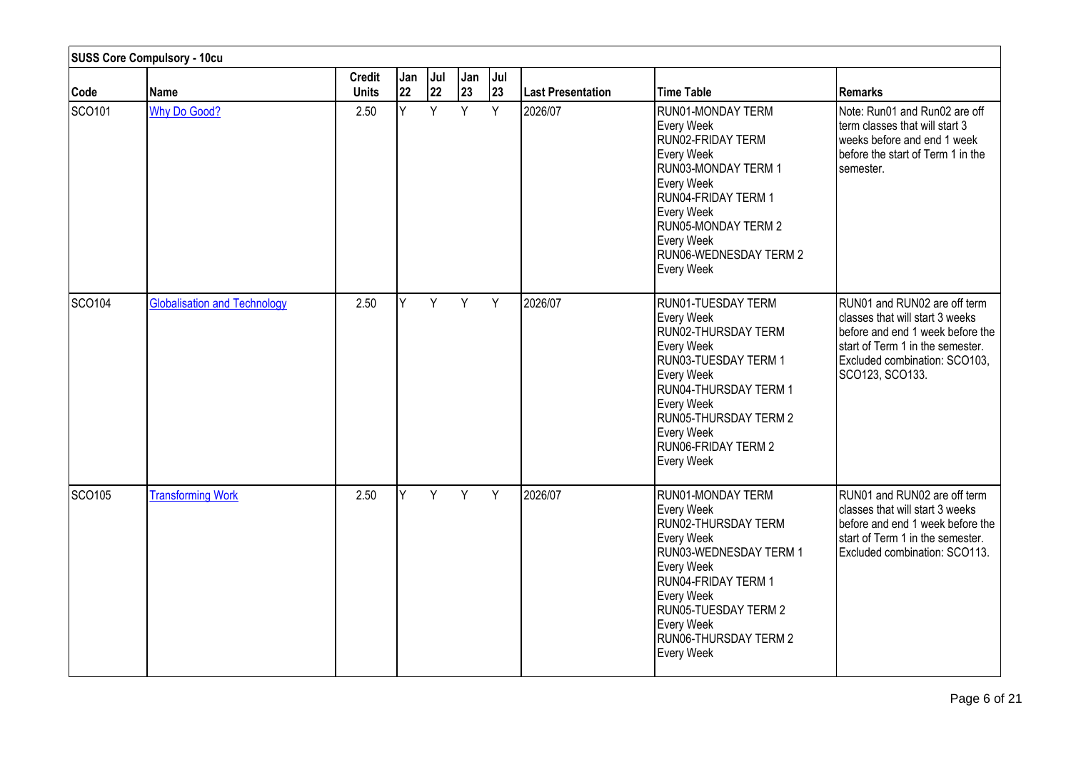|                    | <b>SUSS Core Compulsory - 10cu</b>  |                               |           |           |           |           |                          |                                                                                                                                                                                                                                       |                                                                                                                                                                                             |
|--------------------|-------------------------------------|-------------------------------|-----------|-----------|-----------|-----------|--------------------------|---------------------------------------------------------------------------------------------------------------------------------------------------------------------------------------------------------------------------------------|---------------------------------------------------------------------------------------------------------------------------------------------------------------------------------------------|
| Code               | Name                                | <b>Credit</b><br><b>Units</b> | Jan<br>22 | Jul<br>22 | Jan<br>23 | Jul<br>23 | <b>Last Presentation</b> | Time Table                                                                                                                                                                                                                            | <b>Remarks</b>                                                                                                                                                                              |
| SCO <sub>101</sub> | Why Do Good?                        | 2.50                          | Y         | Y         | Y         | Y         | 2026/07                  | RUN01-MONDAY TERM<br>Every Week<br>RUN02-FRIDAY TERM<br>Every Week<br>RUN03-MONDAY TERM 1<br>Every Week<br>RUN04-FRIDAY TERM 1<br>Every Week<br>RUN05-MONDAY TERM 2<br>Every Week<br>RUN06-WEDNESDAY TERM 2<br>Every Week             | Note: Run01 and Run02 are off<br>term classes that will start 3<br>weeks before and end 1 week<br>before the start of Term 1 in the<br>semester.                                            |
| SCO <sub>104</sub> | <b>Globalisation and Technology</b> | 2.50                          | Y         | Y         | Y         | Y         | 2026/07                  | RUN01-TUESDAY TERM<br>Every Week<br>RUN02-THURSDAY TERM<br>Every Week<br>RUN03-TUESDAY TERM 1<br>Every Week<br>RUN04-THURSDAY TERM 1<br>Every Week<br><b>RUN05-THURSDAY TERM 2</b><br>Every Week<br>RUN06-FRIDAY TERM 2<br>Every Week | RUN01 and RUN02 are off term<br>classes that will start 3 weeks<br>before and end 1 week before the<br>start of Term 1 in the semester.<br>Excluded combination: SCO103,<br>SCO123, SCO133. |
| SCO <sub>105</sub> | <b>Transforming Work</b>            | 2.50                          | Y         | Y -       | Y         | Y         | 2026/07                  | RUN01-MONDAY TERM<br>Every Week<br>RUN02-THURSDAY TERM<br>Every Week<br>RUN03-WEDNESDAY TERM 1<br>Every Week<br>RUN04-FRIDAY TERM 1<br>Every Week<br><b>RUN05-TUESDAY TERM 2</b><br>Every Week<br>RUN06-THURSDAY TERM 2<br>Every Week | RUN01 and RUN02 are off term<br>classes that will start 3 weeks<br>before and end 1 week before the<br>start of Term 1 in the semester.<br>Excluded combination: SCO113.                    |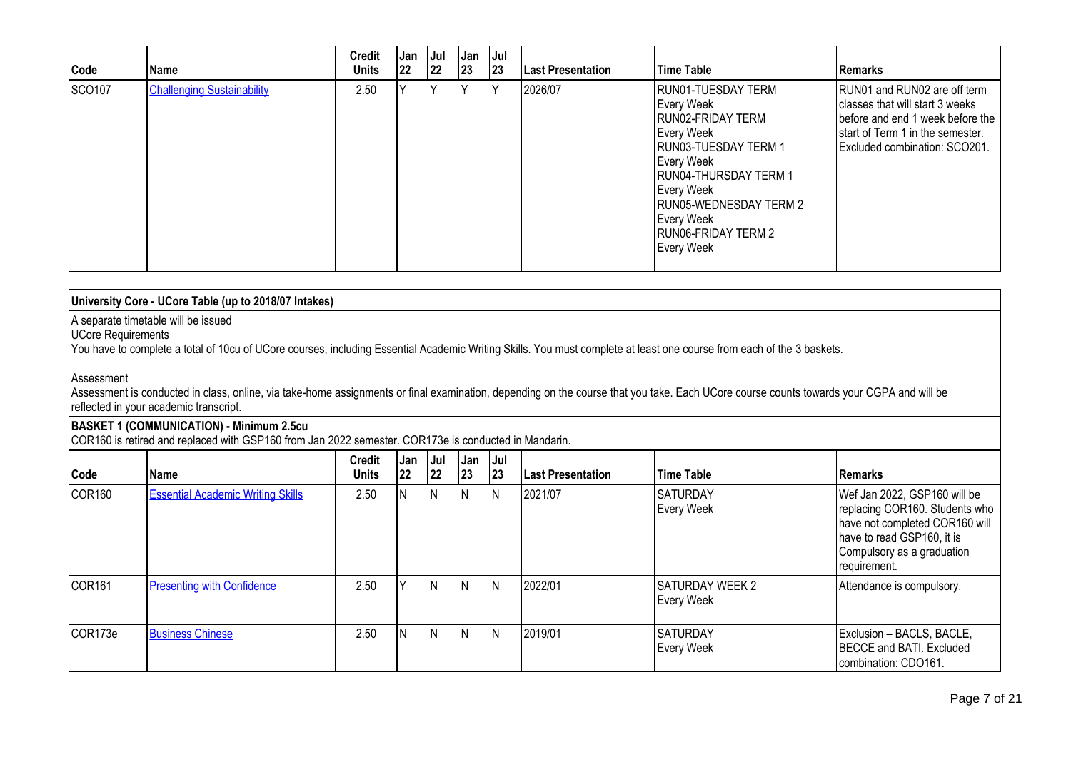| Code   | Name                              | <b>Credit</b><br><b>Units</b> | Jan<br> 22 | Jul<br> 22 | <b>Jan</b><br>23 | Jul<br> 23 | <b>Last Presentation</b> | Time Table                                                                                                                                                                                                                                         | Remarks                                                                                                                                                                   |
|--------|-----------------------------------|-------------------------------|------------|------------|------------------|------------|--------------------------|----------------------------------------------------------------------------------------------------------------------------------------------------------------------------------------------------------------------------------------------------|---------------------------------------------------------------------------------------------------------------------------------------------------------------------------|
| SCO107 | <b>Challenging Sustainability</b> | 2.50                          |            |            | ٧                | ٧          | 2026/07                  | RUN01-TUESDAY TERM<br>Every Week<br>RUN02-FRIDAY TERM<br>Every Week<br>RUN03-TUESDAY TERM 1<br>Every Week<br><b>RUN04-THURSDAY TERM 1</b><br>Every Week<br><b>RUN05-WEDNESDAY TERM 2</b><br>Every Week<br><b>RUNO6-FRIDAY TERM 2</b><br>Every Week | RUN01 and RUN02 are off term<br>classes that will start 3 weeks<br>before and end 1 week before the<br>Istart of Term 1 in the semester.<br>Excluded combination: SCO201. |

| University Core - UCore Table (up to 2018/07 Intakes)                                                                                                                                                                              |  |
|------------------------------------------------------------------------------------------------------------------------------------------------------------------------------------------------------------------------------------|--|
| A separate timetable will be issued<br>UCore Requirements<br>You have to complete a total of 10cu of UCore courses, including Essential Academic Writing Skills. You must complete at least one course from each of the 3 baskets. |  |

### Assessment

Assessment is conducted in class, online, via take-home assignments or final examination, depending on the course that you take. Each UCore course counts towards your CGPA and will be reflected in your academic transcript.

### **BASKET 1 (COMMUNICATION) - Minimum 2.5cu**

COR160 is retired and replaced with GSP160 from Jan 2022 semester. COR173e is conducted in Mandarin.

| Code               | <b>Name</b>                              | <b>Credit</b><br><b>Units</b> | Jan<br> 22 | Jul<br> 22 | <b>Jan</b><br>23 | Jul<br>23 | <b>Last Presentation</b> | Time Table                           | <b>IRemarks</b>                                                                                                                                                              |
|--------------------|------------------------------------------|-------------------------------|------------|------------|------------------|-----------|--------------------------|--------------------------------------|------------------------------------------------------------------------------------------------------------------------------------------------------------------------------|
| COR <sub>160</sub> | <b>Essential Academic Writing Skills</b> | 2.50                          |            | N          | N                | N         | 2021/07                  | <b>SATURDAY</b><br>Every Week        | Wef Jan 2022, GSP160 will be<br>replacing COR160. Students who<br>have not completed COR160 will<br>have to read GSP160, it is<br>Compulsory as a graduation<br>requirement. |
| COR <sub>161</sub> | <b>Presenting with Confidence</b>        | 2.50                          |            | N.         | N.               | N         | 2022/01                  | <b>SATURDAY WEEK 2</b><br>Every Week | Attendance is compulsory.                                                                                                                                                    |
| COR173e            | <b>Business Chinese</b>                  | 2.50                          |            | N.         | N.               | N         | 2019/01                  | ISATURDAY<br>Every Week              | Exclusion - BACLS, BACLE,<br><b>IBECCE and BATI. Excluded</b><br>combination: CDO161.                                                                                        |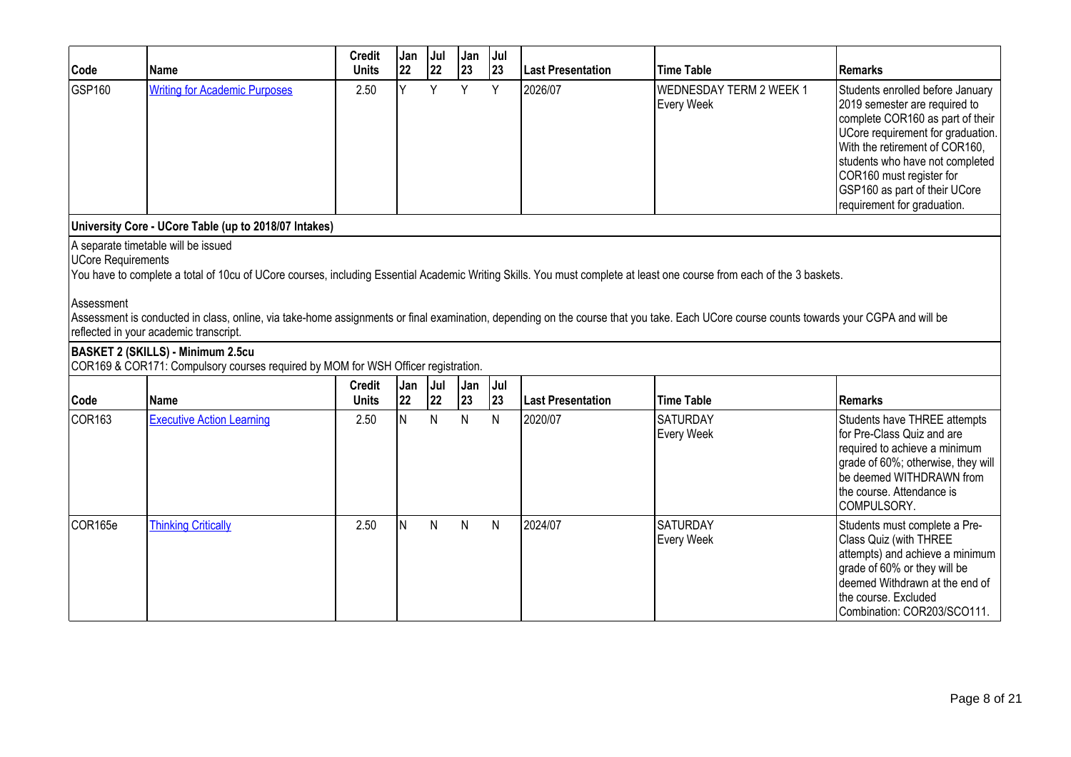| Code                                    | <b>Name</b>                                                                                                                                                                                                                                                                                                                                                                                                                                       | <b>Credit</b><br><b>Units</b> | Jan<br>22 | Jul<br>22 | Jan<br>23 | Jul<br>23 | <b>Last Presentation</b> | <b>Time Table</b>                            | <b>Remarks</b>                                                                                                                                                                                                                                                                                              |
|-----------------------------------------|---------------------------------------------------------------------------------------------------------------------------------------------------------------------------------------------------------------------------------------------------------------------------------------------------------------------------------------------------------------------------------------------------------------------------------------------------|-------------------------------|-----------|-----------|-----------|-----------|--------------------------|----------------------------------------------|-------------------------------------------------------------------------------------------------------------------------------------------------------------------------------------------------------------------------------------------------------------------------------------------------------------|
| GSP160                                  | <b>Writing for Academic Purposes</b>                                                                                                                                                                                                                                                                                                                                                                                                              | 2.50                          | ΙY.       | Y         | Y         | Y         | 2026/07                  | <b>WEDNESDAY TERM 2 WEEK 1</b><br>Every Week | Students enrolled before January<br>2019 semester are required to<br>complete COR160 as part of their<br>UCore requirement for graduation.<br>With the retirement of COR160,<br>students who have not completed<br>COR160 must register for<br>GSP160 as part of their UCore<br>requirement for graduation. |
|                                         | University Core - UCore Table (up to 2018/07 Intakes)                                                                                                                                                                                                                                                                                                                                                                                             |                               |           |           |           |           |                          |                                              |                                                                                                                                                                                                                                                                                                             |
| <b>UCore Requirements</b><br>Assessment | A separate timetable will be issued<br>You have to complete a total of 10cu of UCore courses, including Essential Academic Writing Skills. You must complete at least one course from each of the 3 baskets.<br>Assessment is conducted in class, online, via take-home assignments or final examination, depending on the course that you take. Each UCore course counts towards your CGPA and will be<br>reflected in your academic transcript. |                               |           |           |           |           |                          |                                              |                                                                                                                                                                                                                                                                                                             |
|                                         | <b>BASKET 2 (SKILLS) - Minimum 2.5cu</b><br>COR169 & COR171: Compulsory courses required by MOM for WSH Officer registration.                                                                                                                                                                                                                                                                                                                     |                               |           |           |           |           |                          |                                              |                                                                                                                                                                                                                                                                                                             |
| Code                                    | <b>Name</b>                                                                                                                                                                                                                                                                                                                                                                                                                                       | <b>Credit</b><br><b>Units</b> | Jan<br>22 | Jul<br>22 | Jan<br>23 | Jul<br>23 | Last Presentation        | <b>Time Table</b>                            | <b>Remarks</b>                                                                                                                                                                                                                                                                                              |
| <b>COR163</b>                           | <b>Executive Action Learning</b>                                                                                                                                                                                                                                                                                                                                                                                                                  | 2.50                          | lN.       | N         | N         | N         | 2020/07                  | <b>SATURDAY</b><br>Every Week                | Students have THREE attempts<br>for Pre-Class Quiz and are<br>required to achieve a minimum<br>grade of 60%; otherwise, they will<br>be deemed WITHDRAWN from<br>the course. Attendance is<br>COMPULSORY.                                                                                                   |
| COR165e                                 | <b>Thinking Critically</b>                                                                                                                                                                                                                                                                                                                                                                                                                        | 2.50                          | lN.       | N         | N         | N         | 2024/07                  | <b>SATURDAY</b><br>Every Week                | Students must complete a Pre-<br>Class Quiz (with THREE<br>attempts) and achieve a minimum<br>grade of 60% or they will be<br>deemed Withdrawn at the end of<br>the course. Excluded<br>Combination: COR203/SCO111.                                                                                         |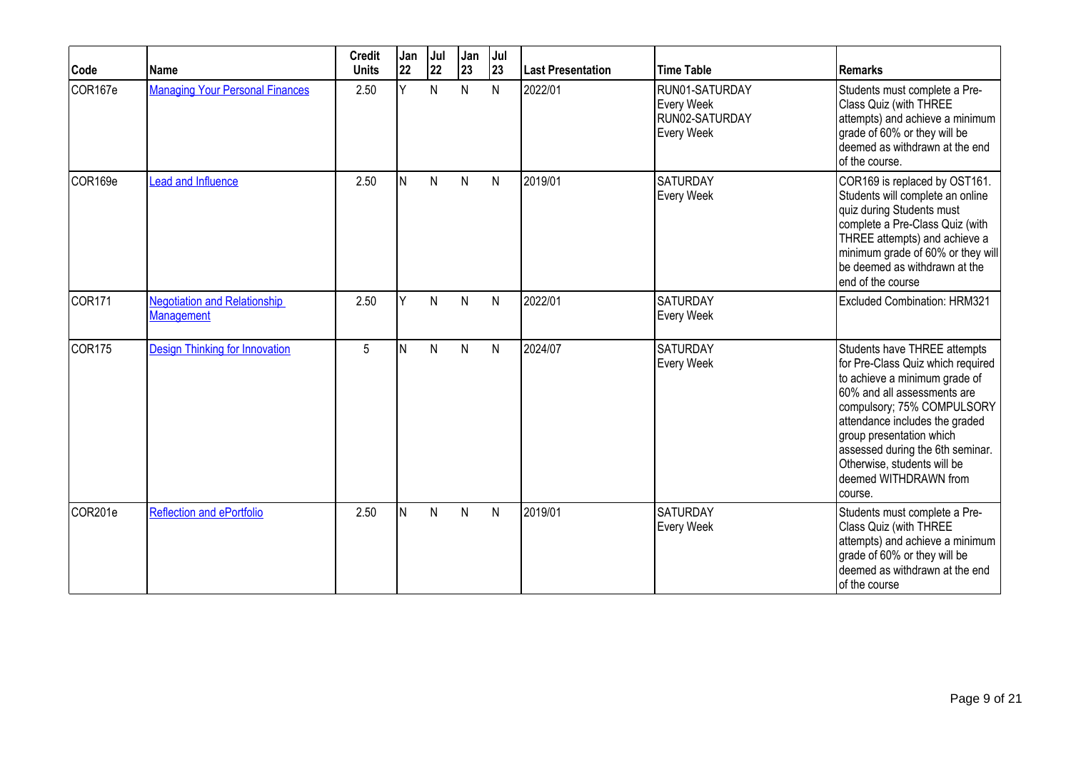| Code               | Name                                                     | <b>Credit</b><br><b>Units</b> | Jan<br>22 | Jul<br>22 | Jan<br>23    | Jul<br>23    | Last Presentation | <b>Time Table</b>                                            | <b>Remarks</b>                                                                                                                                                                                                                                                                                                                       |
|--------------------|----------------------------------------------------------|-------------------------------|-----------|-----------|--------------|--------------|-------------------|--------------------------------------------------------------|--------------------------------------------------------------------------------------------------------------------------------------------------------------------------------------------------------------------------------------------------------------------------------------------------------------------------------------|
| COR167e            | <b>Managing Your Personal Finances</b>                   | 2.50                          | Y         | N         | N            | N            | 2022/01           | RUN01-SATURDAY<br>Every Week<br>RUN02-SATURDAY<br>Every Week | Students must complete a Pre-<br>Class Quiz (with THREE<br>attempts) and achieve a minimum<br>grade of 60% or they will be<br>deemed as withdrawn at the end<br>of the course.                                                                                                                                                       |
| COR169e            | Lead and Influence                                       | 2.50                          | IN.       | N         | $\mathsf{N}$ | N            | 2019/01           | <b>SATURDAY</b><br>Every Week                                | COR169 is replaced by OST161.<br>Students will complete an online<br>quiz during Students must<br>complete a Pre-Class Quiz (with<br>THREE attempts) and achieve a<br>minimum grade of 60% or they will<br>be deemed as withdrawn at the<br>end of the course                                                                        |
| COR <sub>171</sub> | <b>Negotiation and Relationship</b><br><b>Management</b> | 2.50                          | Y         | N         | N            | N            | 2022/01           | <b>SATURDAY</b><br>Every Week                                | Excluded Combination: HRM321                                                                                                                                                                                                                                                                                                         |
| COR <sub>175</sub> | <b>Design Thinking for Innovation</b>                    | 5                             | IN.       | N         | $\mathsf{N}$ | N            | 2024/07           | <b>SATURDAY</b><br>Every Week                                | Students have THREE attempts<br>for Pre-Class Quiz which required<br>to achieve a minimum grade of<br>60% and all assessments are<br>compulsory; 75% COMPULSORY<br>attendance includes the graded<br>group presentation which<br>assessed during the 6th seminar.<br>Otherwise, students will be<br>deemed WITHDRAWN from<br>course. |
| COR201e            | <b>Reflection and ePortfolio</b>                         | 2.50                          | IN.       | N         | N            | $\mathsf{N}$ | 2019/01           | <b>SATURDAY</b><br>Every Week                                | Students must complete a Pre-<br>Class Quiz (with THREE<br>attempts) and achieve a minimum<br>grade of 60% or they will be<br>deemed as withdrawn at the end<br>of the course                                                                                                                                                        |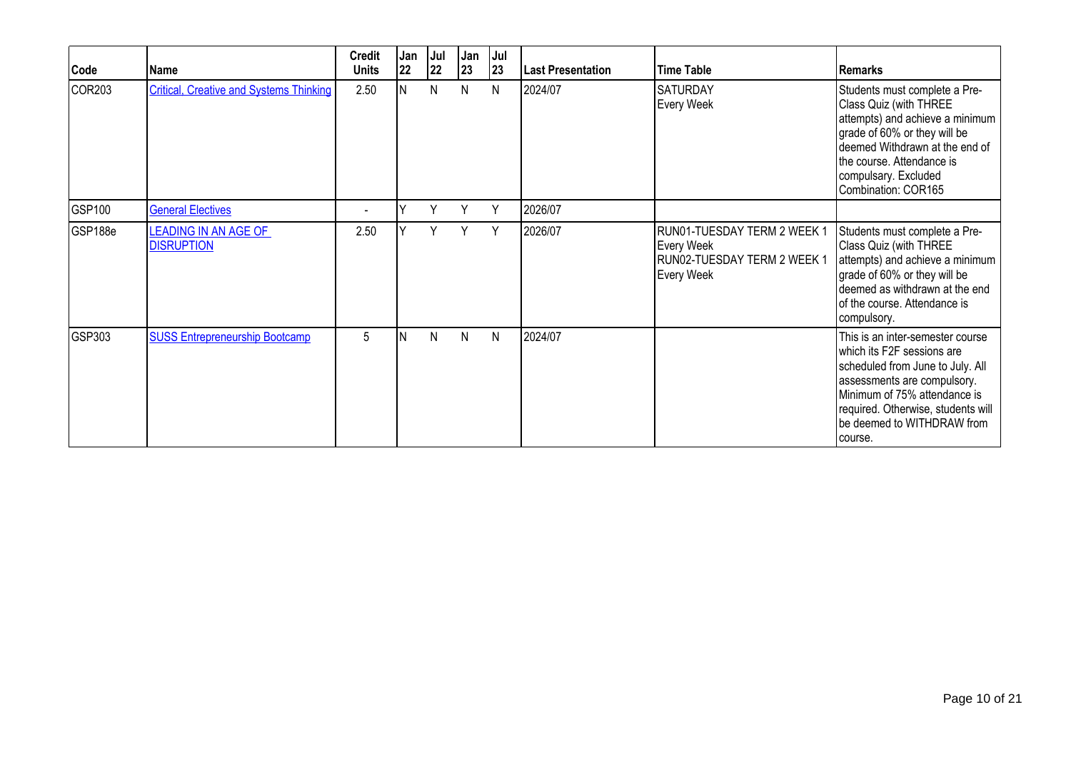| Code          | Name                                             | <b>Credit</b><br><b>Units</b> | Jan<br>22 | Jul<br>22 | Jan<br>23 | Jul<br>23 | <b>Last Presentation</b> | <b>Time Table</b>                                                                      | <b>Remarks</b>                                                                                                                                                                                                                                    |
|---------------|--------------------------------------------------|-------------------------------|-----------|-----------|-----------|-----------|--------------------------|----------------------------------------------------------------------------------------|---------------------------------------------------------------------------------------------------------------------------------------------------------------------------------------------------------------------------------------------------|
| COR203        | <b>Critical, Creative and Systems Thinking</b>   | 2.50                          | IN.       | N         | N         | N         | 2024/07                  | <b>SATURDAY</b><br><b>Every Week</b>                                                   | Students must complete a Pre-<br>Class Quiz (with THREE<br>attempts) and achieve a minimum<br>grade of 60% or they will be<br>deemed Withdrawn at the end of<br>the course. Attendance is<br>compulsary. Excluded<br>Combination: COR165          |
| <b>GSP100</b> | <b>General Electives</b>                         | ۰                             |           | Y         | Υ         | Y         | 2026/07                  |                                                                                        |                                                                                                                                                                                                                                                   |
| GSP188e       | <b>LEADING IN AN AGE OF</b><br><b>DISRUPTION</b> | 2.50                          |           | Y         | Y         | Y         | 2026/07                  | RUN01-TUESDAY TERM 2 WEEK 1<br>Every Week<br>RUN02-TUESDAY TERM 2 WEEK 1<br>Every Week | Students must complete a Pre-<br>Class Quiz (with THREE<br>attempts) and achieve a minimum<br>grade of 60% or they will be<br>deemed as withdrawn at the end<br>of the course. Attendance is<br>compulsory.                                       |
| GSP303        | <b>SUSS Entrepreneurship Bootcamp</b>            | 5                             | ΙN        | N         | N         | N         | 2024/07                  |                                                                                        | This is an inter-semester course<br>Iwhich its F2F sessions are<br>scheduled from June to July. All<br>assessments are compulsory.<br>Minimum of 75% attendance is<br>required. Otherwise, students will<br>be deemed to WITHDRAW from<br>course. |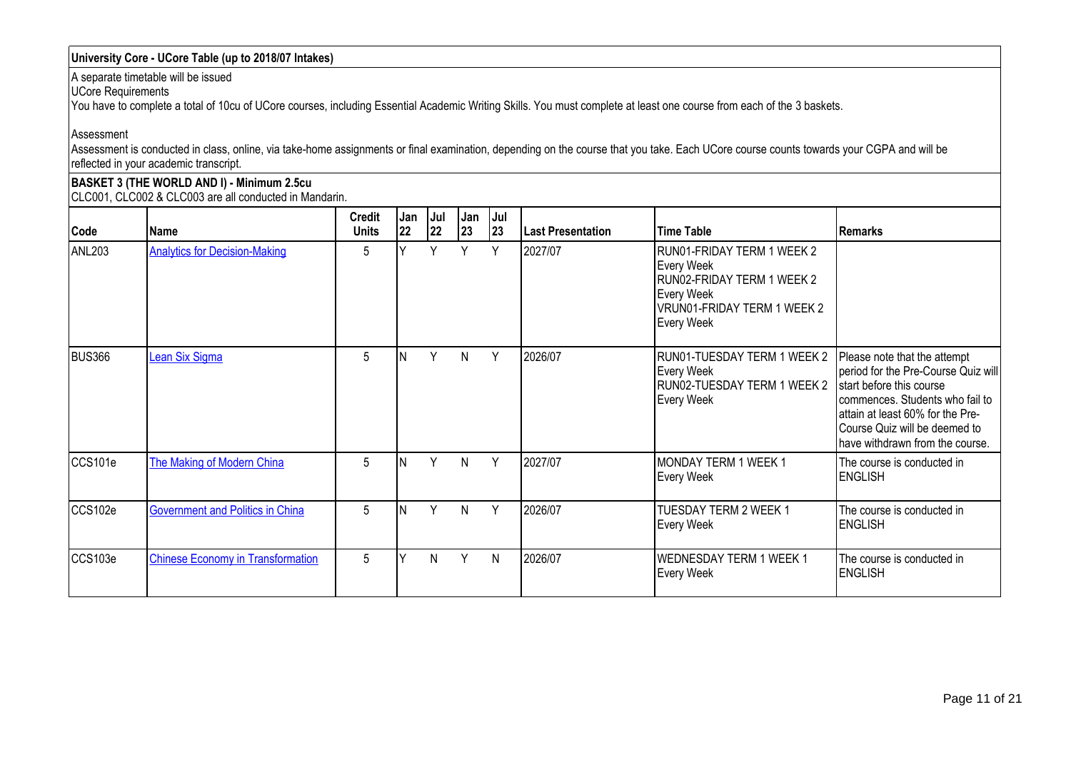## **University Core - UCore Table (up to 2018/07 Intakes)**

A separate timetable will be issued

UCore Requirements

You have to complete a total of 10cu of UCore courses, including Essential Academic Writing Skills. You must complete at least one course from each of the 3 baskets.

Assessment

Assessment is conducted in class, online, via take-home assignments or final examination, depending on the course that you take. Each UCore course counts towards your CGPA and will be reflected in your academic transcript.

**BASKET 3 (THE WORLD AND I) - Minimum 2.5cu** CLC001, CLC002 & CLC003 are all conducted in Mandarin.

| Code          | Name                                     | <b>Credit</b><br><b>Units</b> | Jan<br> 22 | Jul<br>22 | Jan<br>23 | Jul<br>23 | <b>Last Presentation</b> | Time Table                                                                                                                        | <b>Remarks</b>                                                                                                                                                                                                                             |
|---------------|------------------------------------------|-------------------------------|------------|-----------|-----------|-----------|--------------------------|-----------------------------------------------------------------------------------------------------------------------------------|--------------------------------------------------------------------------------------------------------------------------------------------------------------------------------------------------------------------------------------------|
| ANL203        | <b>Analytics for Decision-Making</b>     | 5                             |            | Y         | Y         | Y         | 2027/07                  | RUN01-FRIDAY TERM 1 WEEK 2<br>Every Week<br>RUN02-FRIDAY TERM 1 WEEK 2<br>Every Week<br>VRUN01-FRIDAY TERM 1 WEEK 2<br>Every Week |                                                                                                                                                                                                                                            |
| <b>BUS366</b> | Lean Six Sigma                           | 5                             |            | Y         | N         | Y         | 2026/07                  | RUN01-TUESDAY TERM 1 WEEK 2<br>Every Week<br>RUN02-TUESDAY TERM 1 WEEK 2<br>Every Week                                            | Please note that the attempt<br>period for the Pre-Course Quiz will<br>start before this course<br>commences. Students who fail to<br>attain at least 60% for the Pre-<br>Course Quiz will be deemed to<br>have withdrawn from the course. |
| CCS101e       | The Making of Modern China               | 5                             |            | Y         | N         | Y         | 2027/07                  | MONDAY TERM 1 WEEK 1<br>Every Week                                                                                                | The course is conducted in<br><b>ENGLISH</b>                                                                                                                                                                                               |
| CCS102e       | <b>Government and Politics in China</b>  | 5                             |            | Y         | N         | Y         | 2026/07                  | TUESDAY TERM 2 WEEK 1<br>Every Week                                                                                               | The course is conducted in<br><b>ENGLISH</b>                                                                                                                                                                                               |
| CCS103e       | <b>Chinese Economy in Transformation</b> | 5                             |            | N         | Y         | N         | 2026/07                  | <b>WEDNESDAY TERM 1 WEEK 1</b><br>Every Week                                                                                      | The course is conducted in<br><b>ENGLISH</b>                                                                                                                                                                                               |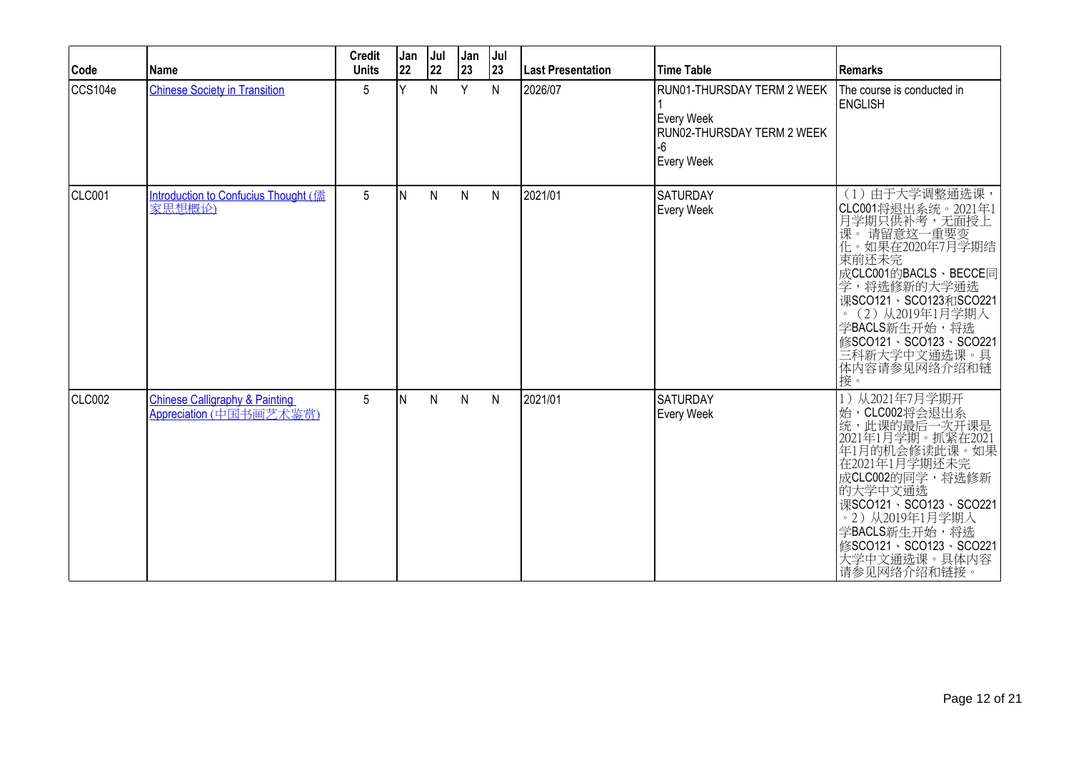| Code          | Name                                                                 | <b>Credit</b><br><b>Units</b> | Jan<br>22 | Jul<br>22    | Jan<br>23    | Jul<br>23    | Last Presentation | <b>Time Table</b>                                                                          | Remarks                                                                                                                                                                                                                                                                |
|---------------|----------------------------------------------------------------------|-------------------------------|-----------|--------------|--------------|--------------|-------------------|--------------------------------------------------------------------------------------------|------------------------------------------------------------------------------------------------------------------------------------------------------------------------------------------------------------------------------------------------------------------------|
| CCS104e       | <b>Chinese Society in Transition</b>                                 | 5                             | lΥ        | $\mathsf{N}$ | Y            | N            | 2026/07           | RUN01-THURSDAY TERM 2 WEEK<br>Every Week<br>RUN02-THURSDAY TERM 2 WEEK<br>-6<br>Every Week | The course is conducted in<br><b>ENGLISH</b>                                                                                                                                                                                                                           |
| CLC001        | Introduction to Confucius Thought (儒<br>家思想概论)                       | 5                             | IN.       | $\mathsf{N}$ | $\mathsf{N}$ | $\mathsf{N}$ | 2021/01           | <b>SATURDAY</b><br>Every Week                                                              | (1) 由于大学调整通选课,<br> CLC001将退出系统。2021年1<br> 月学期只供补考,无面授上<br> 课。 请留意这一重要变<br> 促。如果在2020年7月学期结<br>束前还未完<br>成CLC001的BACLS、BECCE同<br>学,将选修新的大学通选<br>课SCO121、SCO123和SCO221<br>。(2)从2019年1月学期入<br>学BACLS新生开始,将选<br>修SCO121、SCO123、SCO221<br>三科新大学中文通选课。具<br>体内容请参见网络介绍和链<br>接。 |
| <b>CLC002</b> | <b>Chinese Calligraphy &amp; Painting</b><br>Appreciation (中国书画艺术鉴赏) | 5                             | IN.       | $\mathsf{N}$ | $\mathsf{N}$ | $\mathsf{N}$ | 2021/01           | <b>SATURDAY</b><br>Every Week                                                              | 1) 从2021年7月学期开<br>始, CLC002将会退出系<br>此课的最后一次开课是<br>2021年1月学期。抓紧在2021<br>年1月的机会修读此课。如果<br>在2021年1月学期还未完<br>成CLC002的同学,将选修新<br>的大学中文通选<br>课SCO121、SCO123、SCO221<br>。2)从2019年1月学期入<br>学BACLS新生开始,将选<br>修SCO121、SCO123、SCO221<br>大学中文通选课。具体内容<br>请参见网络介绍和链接。                |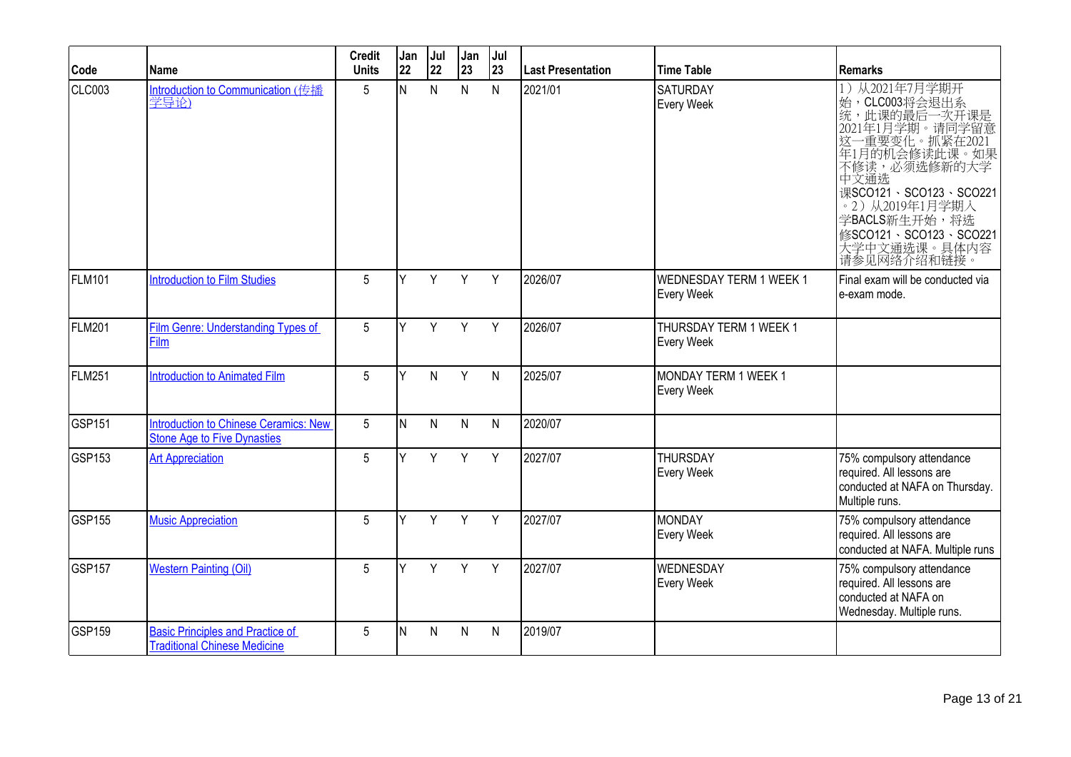| Code               | <b>Name</b>                                                                        | <b>Credit</b><br><b>Units</b> | Jan<br>22 | Jul<br>22    | Jan<br>23    | Jul<br>23    | <b>Last Presentation</b> | <b>Time Table</b>                            | <b>Remarks</b>                                                                                                                                                                                                                                                  |
|--------------------|------------------------------------------------------------------------------------|-------------------------------|-----------|--------------|--------------|--------------|--------------------------|----------------------------------------------|-----------------------------------------------------------------------------------------------------------------------------------------------------------------------------------------------------------------------------------------------------------------|
| CLC003             | Introduction to Communication (传播<br>学导论)                                          | 5                             | N         | $\mathsf{N}$ | $\mathsf{N}$ | $\mathsf{N}$ | 2021/01                  | <b>SATURDAY</b><br>Every Week                | 从2021年7月学期开<br>1)<br>始, CLC003将会退出系<br>统, 此课的最后一次开课是<br>2021年1月学期。请同学留意<br>这一重要变化。抓紧在2021<br>年1月的机会修读此课。如果<br>不修读, 必须选修新的大学<br>中文通选<br>课SCO121、SCO123、SCO221<br>。2) 从2019年1月学期入<br>学BACLS新生开始,将选<br>修SCO121、SCO123、SCO221<br>,<br> 大学中文通选课。具体内容<br> 请参见网络介绍和链接。 |
| <b>FLM101</b>      | <b>Introduction to Film Studies</b>                                                | 5                             | <b>V</b>  | Y            | Y            | Y            | 2026/07                  | <b>WEDNESDAY TERM 1 WEEK 1</b><br>Every Week | Final exam will be conducted via<br>e-exam mode.                                                                                                                                                                                                                |
| <b>FLM201</b>      | Film Genre: Understanding Types of<br>Film                                         | 5                             | Y         | Y            | Y            | Y            | 2026/07                  | THURSDAY TERM 1 WEEK 1<br>Every Week         |                                                                                                                                                                                                                                                                 |
| FLM251             | <b>Introduction to Animated Film</b>                                               | 5                             | v         | N.           | Y            | $\mathsf{N}$ | 2025/07                  | MONDAY TERM 1 WEEK 1<br>Every Week           |                                                                                                                                                                                                                                                                 |
| GSP <sub>151</sub> | <b>Introduction to Chinese Ceramics: New</b><br><b>Stone Age to Five Dynasties</b> | 5                             | N         | N            | $\mathsf{N}$ | $\mathsf{N}$ | 2020/07                  |                                              |                                                                                                                                                                                                                                                                 |
| GSP <sub>153</sub> | <b>Art Appreciation</b>                                                            | 5                             | v         | Y            | Y            | Y            | 2027/07                  | <b>THURSDAY</b><br>Every Week                | 75% compulsory attendance<br>required. All lessons are<br>conducted at NAFA on Thursday.<br>Multiple runs.                                                                                                                                                      |
| GSP155             | <b>Music Appreciation</b>                                                          | 5                             | Y         | Y            | Y            | Y            | 2027/07                  | MONDAY<br>Every Week                         | 75% compulsory attendance<br>required. All lessons are<br>conducted at NAFA. Multiple runs                                                                                                                                                                      |
| GSP157             | <b>Western Painting (Oil)</b>                                                      | 5                             | v         | Y            | Y            | Y            | 2027/07                  | WEDNESDAY<br>Every Week                      | 75% compulsory attendance<br>required. All lessons are<br>conducted at NAFA on<br>Wednesday. Multiple runs.                                                                                                                                                     |
| GSP159             | <b>Basic Principles and Practice of</b><br><b>Traditional Chinese Medicine</b>     | 5                             | N         | N            | N            | N            | 2019/07                  |                                              |                                                                                                                                                                                                                                                                 |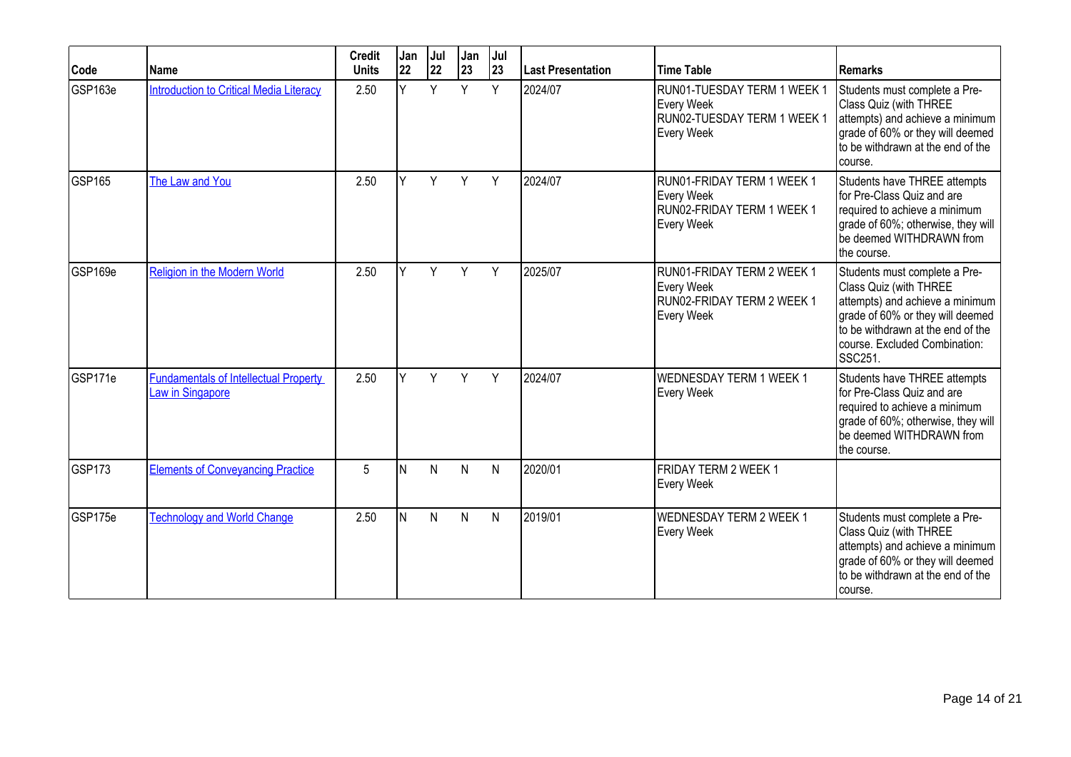| Code          | Name                                                             | <b>Credit</b><br><b>Units</b> | Jan<br>22 | Jul<br>22 | Jan<br>23 | Jul<br> 23 | Last Presentation | <b>Time Table</b>                                                                      | Remarks                                                                                                                                                                                                                    |
|---------------|------------------------------------------------------------------|-------------------------------|-----------|-----------|-----------|------------|-------------------|----------------------------------------------------------------------------------------|----------------------------------------------------------------------------------------------------------------------------------------------------------------------------------------------------------------------------|
| GSP163e       | <b>Introduction to Critical Media Literacy</b>                   | 2.50                          | Y         | Y         | Y         | Y          | 2024/07           | RUN01-TUESDAY TERM 1 WEEK 1<br>Every Week<br>RUN02-TUESDAY TERM 1 WEEK 1<br>Every Week | Students must complete a Pre-<br>Class Quiz (with THREE<br>attempts) and achieve a minimum<br>grade of 60% or they will deemed<br>to be withdrawn at the end of the<br>course.                                             |
| GSP165        | The Law and You                                                  | 2.50                          | Υ         | Y         | Y         | Y          | 2024/07           | RUN01-FRIDAY TERM 1 WEEK 1<br>Every Week<br>RUN02-FRIDAY TERM 1 WEEK 1<br>Every Week   | Students have THREE attempts<br>for Pre-Class Quiz and are<br>required to achieve a minimum<br>grade of 60%; otherwise, they will<br>be deemed WITHDRAWN from<br>the course.                                               |
| GSP169e       | <b>Religion in the Modern World</b>                              | 2.50                          | V         | Y         | Y         | Y          | 2025/07           | RUN01-FRIDAY TERM 2 WEEK 1<br>Every Week<br>RUN02-FRIDAY TERM 2 WEEK 1<br>Every Week   | Students must complete a Pre-<br>Class Quiz (with THREE<br>attempts) and achieve a minimum<br>grade of 60% or they will deemed<br>to be withdrawn at the end of the<br>course. Excluded Combination:<br>SSC <sub>251</sub> |
| GSP171e       | <b>Fundamentals of Intellectual Property</b><br>Law in Singapore | 2.50                          | ΙY.       | Y         | Y         | Y          | 2024/07           | <b>WEDNESDAY TERM 1 WEEK 1</b><br><b>Every Week</b>                                    | Students have THREE attempts<br>for Pre-Class Quiz and are<br>required to achieve a minimum<br>grade of 60%; otherwise, they will<br>be deemed WITHDRAWN from<br>the course.                                               |
| <b>GSP173</b> | <b>Elements of Conveyancing Practice</b>                         | 5                             | ΙN        | N         | N         | ${\sf N}$  | 2020/01           | FRIDAY TERM 2 WEEK 1<br><b>Every Week</b>                                              |                                                                                                                                                                                                                            |
| GSP175e       | <b>Technology and World Change</b>                               | 2.50                          | IN.       | N         | N         | N          | 2019/01           | <b>WEDNESDAY TERM 2 WEEK 1</b><br><b>Every Week</b>                                    | Students must complete a Pre-<br>Class Quiz (with THREE<br>attempts) and achieve a minimum<br>grade of 60% or they will deemed<br>to be withdrawn at the end of the<br>course.                                             |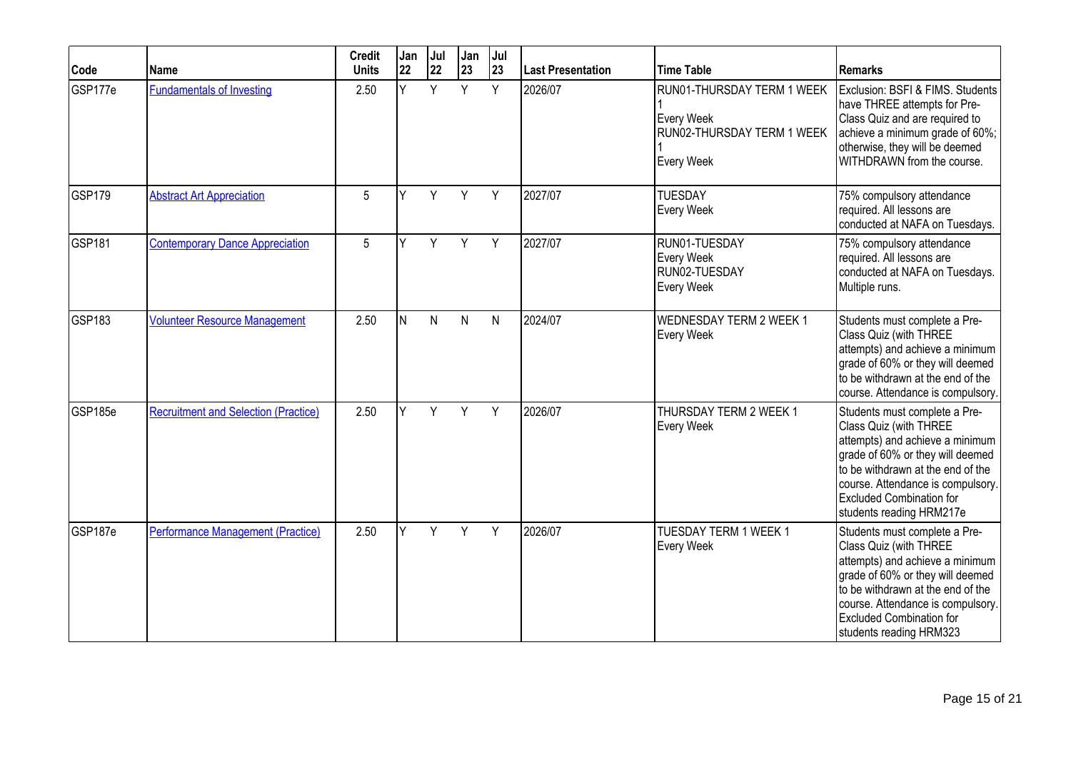| Code               | Name                                        | <b>Credit</b><br><b>Units</b> | Jan<br>22 | Jul<br>22 | Jan<br>23 | Jul<br> 23   | <b>Last Presentation</b> | <b>Time Table</b>                                                                    | Remarks                                                                                                                                                                                                                                                                 |
|--------------------|---------------------------------------------|-------------------------------|-----------|-----------|-----------|--------------|--------------------------|--------------------------------------------------------------------------------------|-------------------------------------------------------------------------------------------------------------------------------------------------------------------------------------------------------------------------------------------------------------------------|
| GSP177e            | <b>Fundamentals of Investing</b>            | 2.50                          | v         | Y         | Y         | Y            | 2026/07                  | RUN01-THURSDAY TERM 1 WEEK<br>Every Week<br>RUN02-THURSDAY TERM 1 WEEK<br>Every Week | Exclusion: BSFI & FIMS. Students<br>have THREE attempts for Pre-<br>Class Quiz and are required to<br>achieve a minimum grade of 60%;<br>otherwise, they will be deemed<br>WITHDRAWN from the course.                                                                   |
| GSP179             | <b>Abstract Art Appreciation</b>            | 5                             | Υ         | Y         | Y         | Y            | 2027/07                  | <b>TUESDAY</b><br>Every Week                                                         | 75% compulsory attendance<br>required. All lessons are<br>conducted at NAFA on Tuesdays.                                                                                                                                                                                |
| GSP <sub>181</sub> | <b>Contemporary Dance Appreciation</b>      | 5                             | v         | Y         | Y         | Y            | 2027/07                  | RUN01-TUESDAY<br>Every Week<br>RUN02-TUESDAY<br>Every Week                           | 75% compulsory attendance<br>required. All lessons are<br>conducted at NAFA on Tuesdays.<br>Multiple runs.                                                                                                                                                              |
| GSP <sub>183</sub> | <b>Volunteer Resource Management</b>        | 2.50                          | IN.       | N         | N         | $\mathsf{N}$ | 2024/07                  | <b>WEDNESDAY TERM 2 WEEK 1</b><br>Every Week                                         | Students must complete a Pre-<br>Class Quiz (with THREE<br>attempts) and achieve a minimum<br>grade of 60% or they will deemed<br>to be withdrawn at the end of the<br>course. Attendance is compulsory.                                                                |
| GSP185e            | <b>Recruitment and Selection (Practice)</b> | 2.50                          |           | Y         | Y         | Y            | 2026/07                  | THURSDAY TERM 2 WEEK 1<br>Every Week                                                 | Students must complete a Pre-<br>Class Quiz (with THREE<br>attempts) and achieve a minimum<br>grade of 60% or they will deemed<br>to be withdrawn at the end of the<br>course. Attendance is compulsory.<br><b>Excluded Combination for</b><br>students reading HRM217e |
| GSP187e            | Performance Management (Practice)           | 2.50                          |           | Y         | Y         | Y            | 2026/07                  | TUESDAY TERM 1 WEEK 1<br>Every Week                                                  | Students must complete a Pre-<br>Class Quiz (with THREE<br>attempts) and achieve a minimum<br>grade of 60% or they will deemed<br>to be withdrawn at the end of the<br>course. Attendance is compulsory.<br><b>Excluded Combination for</b><br>students reading HRM323  |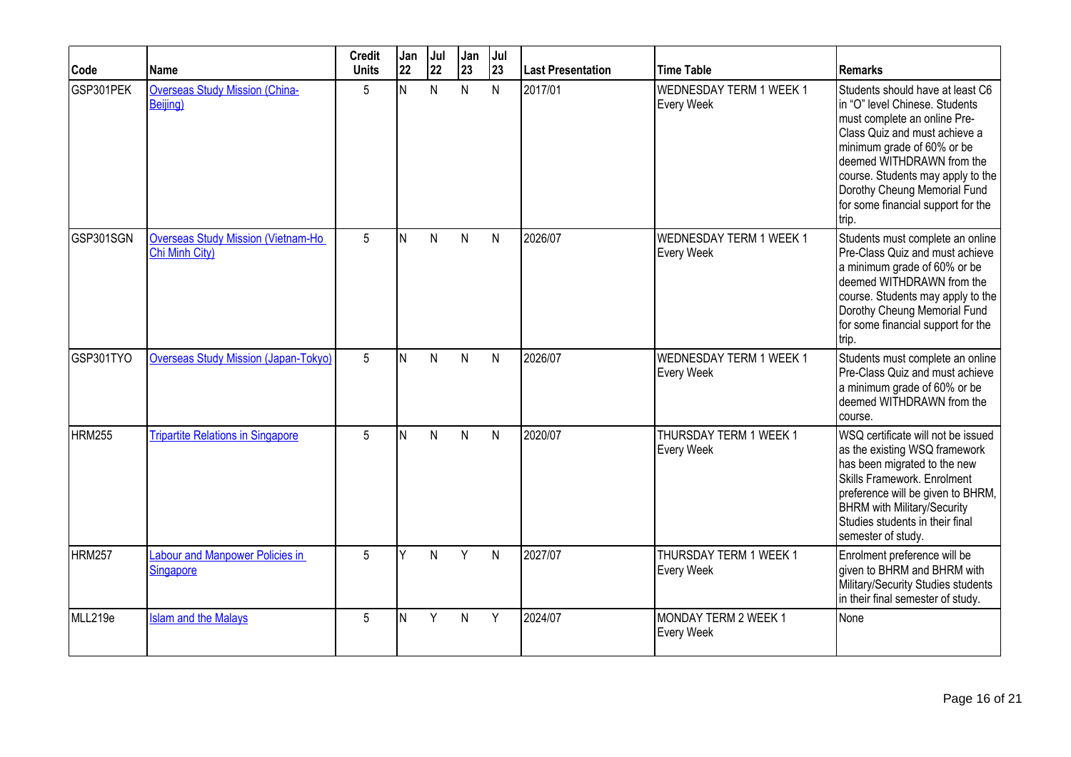| Code          | Name                                                        | <b>Credit</b><br><b>Units</b> | Jan<br>22 | Jul<br>22 | Jan<br>23    | Jul<br>23    | Last Presentation | <b>Time Table</b>                     | <b>Remarks</b>                                                                                                                                                                                                                                                                                                     |
|---------------|-------------------------------------------------------------|-------------------------------|-----------|-----------|--------------|--------------|-------------------|---------------------------------------|--------------------------------------------------------------------------------------------------------------------------------------------------------------------------------------------------------------------------------------------------------------------------------------------------------------------|
| GSP301PEK     | <b>Overseas Study Mission (China-</b><br>Beijing)           | 5                             | N         | N         | N            | N            | 2017/01           | WEDNESDAY TERM 1 WEEK 1<br>Every Week | Students should have at least C6<br>in "O" level Chinese. Students<br>must complete an online Pre-<br>Class Quiz and must achieve a<br>minimum grade of 60% or be<br>deemed WITHDRAWN from the<br>course. Students may apply to the<br>Dorothy Cheung Memorial Fund<br>for some financial support for the<br>trip. |
| GSP301SGN     | <b>Overseas Study Mission (Vietnam-Ho</b><br>Chi Minh City) | 5                             | IN.       | N         | $\mathsf{N}$ | $\mathsf{N}$ | 2026/07           | WEDNESDAY TERM 1 WEEK 1<br>Every Week | Students must complete an online<br>Pre-Class Quiz and must achieve<br>a minimum grade of 60% or be<br>deemed WITHDRAWN from the<br>course. Students may apply to the<br>Dorothy Cheung Memorial Fund<br>for some financial support for the<br>trip.                                                               |
| GSP301TYO     | <b>Overseas Study Mission (Japan-Tokyo)</b>                 | 5                             | N         | N         | N            | N            | 2026/07           | WEDNESDAY TERM 1 WEEK 1<br>Every Week | Students must complete an online<br>Pre-Class Quiz and must achieve<br>a minimum grade of 60% or be<br>deemed WITHDRAWN from the<br>course.                                                                                                                                                                        |
| <b>HRM255</b> | <b>Tripartite Relations in Singapore</b>                    | 5                             | lN.       | N         | N            | $\mathsf{N}$ | 2020/07           | THURSDAY TERM 1 WEEK 1<br>Every Week  | WSQ certificate will not be issued<br>as the existing WSQ framework<br>has been migrated to the new<br>Skills Framework. Enrolment<br>preference will be given to BHRM,<br><b>BHRM</b> with Military/Security<br>Studies students in their final<br>semester of study.                                             |
| <b>HRM257</b> | <b>Labour and Manpower Policies in</b><br><b>Singapore</b>  | 5                             | Y         | N         | Y            | $\mathsf{N}$ | 2027/07           | THURSDAY TERM 1 WEEK 1<br>Every Week  | Enrolment preference will be<br>given to BHRM and BHRM with<br>Military/Security Studies students<br>in their final semester of study.                                                                                                                                                                             |
| MLL219e       | <b>Islam and the Malays</b>                                 | 5                             | N         | Y         | N            | Y            | 2024/07           | MONDAY TERM 2 WEEK 1<br>Every Week    | None                                                                                                                                                                                                                                                                                                               |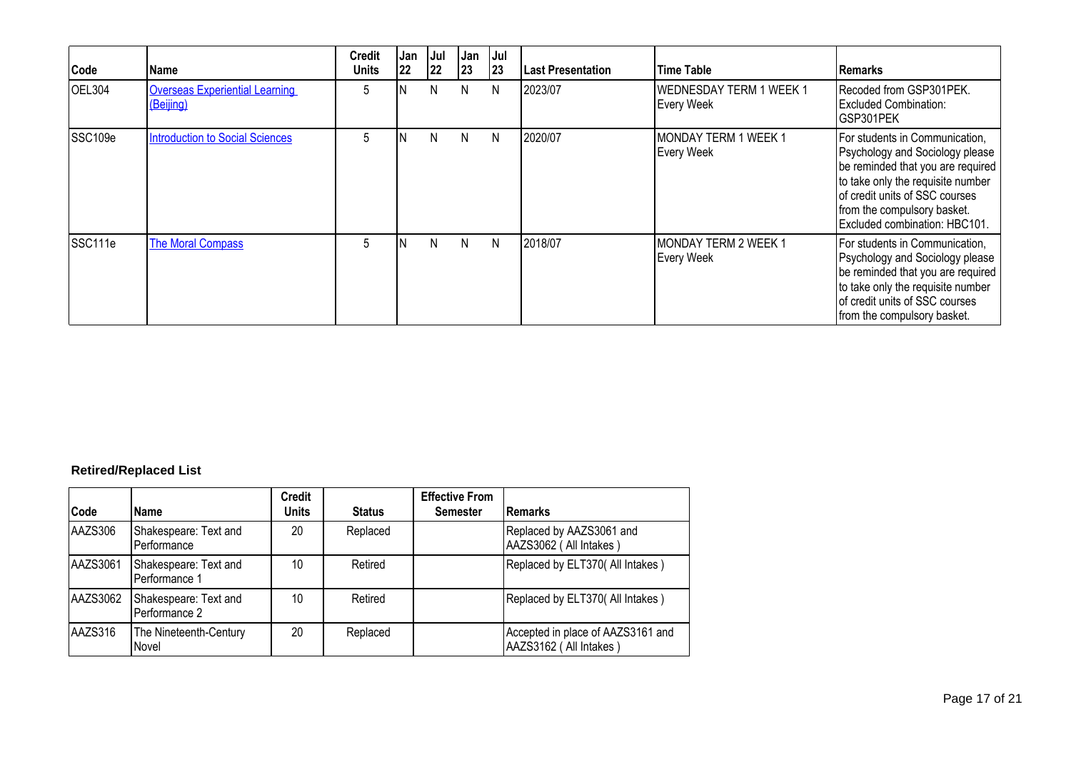| Code    | Name                                               | <b>Credit</b><br><b>Units</b> | Jan<br>22 | Jul<br> 22 | Jan<br>23 | Jul<br> 23 | <b>Last Presentation</b> | <b>Time Table</b>                            | <b>IRemarks</b>                                                                                                                                                                                                                               |
|---------|----------------------------------------------------|-------------------------------|-----------|------------|-----------|------------|--------------------------|----------------------------------------------|-----------------------------------------------------------------------------------------------------------------------------------------------------------------------------------------------------------------------------------------------|
| OEL304  | <b>Overseas Experiential Learning</b><br>(Beijing) | 5                             |           | N          | N         | N          | 2023/07                  | <b>WEDNESDAY TERM 1 WEEK 1</b><br>Every Week | Recoded from GSP301PEK.<br><b>Excluded Combination:</b><br>GSP301PEK                                                                                                                                                                          |
| SSC109e | <b>Introduction to Social Sciences</b>             | 5                             | 'N        | N          | N.        | N          | 2020/07                  | MONDAY TERM 1 WEEK 1<br>Every Week           | For students in Communication,<br>Psychology and Sociology please<br>be reminded that you are required<br>to take only the requisite number<br>of credit units of SSC courses<br>from the compulsory basket.<br>Excluded combination: HBC101. |
| SSC111e | <b>The Moral Compass</b>                           | 5                             | N         | N          | N.        | N          | 2018/07                  | MONDAY TERM 2 WEEK 1<br>Every Week           | For students in Communication,<br>Psychology and Sociology please<br>be reminded that you are required<br>to take only the requisite number<br>of credit units of SSC courses<br>from the compulsory basket.                                  |

# **Retired/Replaced List**

| Code     | <b>Name</b>                            | <b>Credit</b><br><b>Units</b> | <b>Status</b> | <b>Effective From</b><br><b>Semester</b> | <b>Remarks</b>                                              |
|----------|----------------------------------------|-------------------------------|---------------|------------------------------------------|-------------------------------------------------------------|
| AAZS306  | Shakespeare: Text and<br>Performance   | 20                            | Replaced      |                                          | Replaced by AAZS3061 and<br>AAZS3062 (All Intakes)          |
| AAZS3061 | Shakespeare: Text and<br>Performance 1 | 10                            | Retired       |                                          | Replaced by ELT370( All Intakes)                            |
| AAZS3062 | Shakespeare: Text and<br>Performance 2 | 10                            | Retired       |                                          | Replaced by ELT370( All Intakes)                            |
| AAZS316  | The Nineteenth-Century<br>Novel        | 20                            | Replaced      |                                          | Accepted in place of AAZS3161 and<br>AAZS3162 (All Intakes) |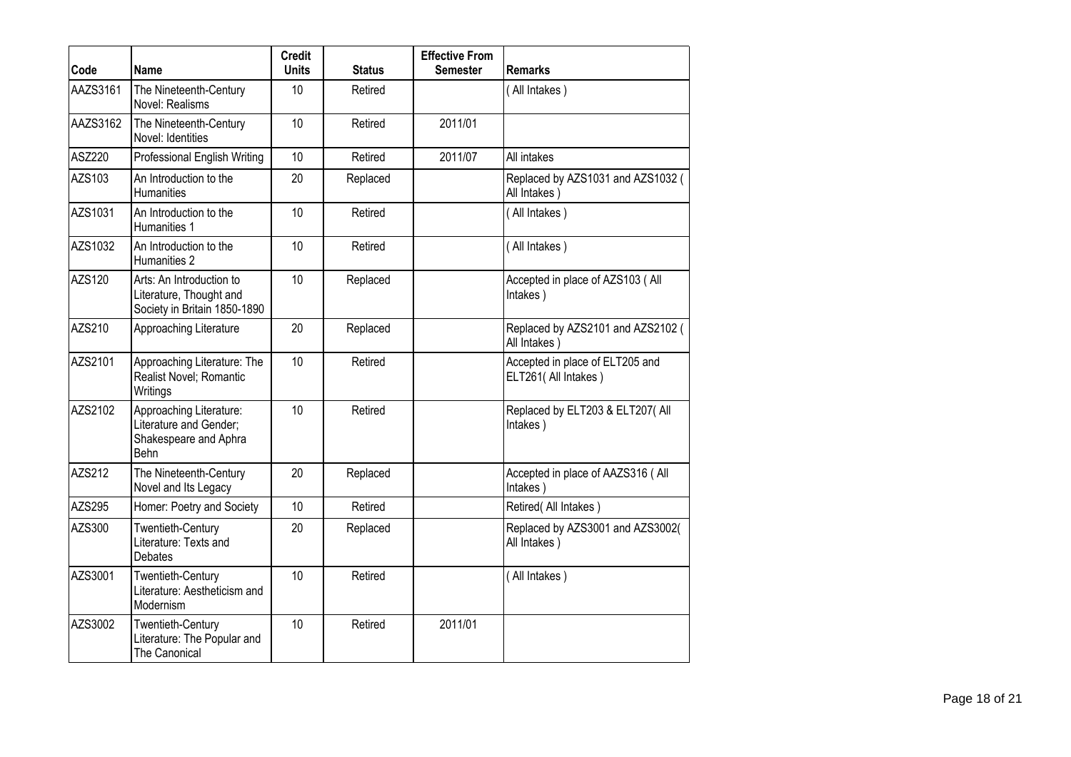| Code     | <b>Name</b>                                                                               | <b>Credit</b><br><b>Units</b> | <b>Status</b> | <b>Effective From</b><br><b>Semester</b> | <b>Remarks</b>                                          |
|----------|-------------------------------------------------------------------------------------------|-------------------------------|---------------|------------------------------------------|---------------------------------------------------------|
| AAZS3161 | The Nineteenth-Century<br>Novel: Realisms                                                 | 10                            | Retired       |                                          | (All Intakes)                                           |
| AAZS3162 | The Nineteenth-Century<br>Novel: Identities                                               | 10                            | Retired       | 2011/01                                  |                                                         |
| ASZ220   | Professional English Writing                                                              | 10                            | Retired       | 2011/07                                  | All intakes                                             |
| AZS103   | An Introduction to the<br><b>Humanities</b>                                               | 20                            | Replaced      |                                          | Replaced by AZS1031 and AZS1032 (<br>All Intakes)       |
| AZS1031  | An Introduction to the<br>Humanities 1                                                    | 10                            | Retired       |                                          | (All Intakes)                                           |
| AZS1032  | An Introduction to the<br>Humanities 2                                                    | 10                            | Retired       |                                          | (All Intakes)                                           |
| AZS120   | Arts: An Introduction to<br>Literature, Thought and<br>Society in Britain 1850-1890       | 10                            | Replaced      |                                          | Accepted in place of AZS103 ( All<br>Intakes)           |
| AZS210   | Approaching Literature                                                                    | 20                            | Replaced      |                                          | Replaced by AZS2101 and AZS2102 (<br>All Intakes        |
| AZS2101  | Approaching Literature: The<br>Realist Novel; Romantic<br>Writings                        | 10                            | Retired       |                                          | Accepted in place of ELT205 and<br>ELT261( All Intakes) |
| AZS2102  | Approaching Literature:<br>Literature and Gender;<br>Shakespeare and Aphra<br><b>Behn</b> | 10                            | Retired       |                                          | Replaced by ELT203 & ELT207( All<br>Intakes)            |
| AZS212   | The Nineteenth-Century<br>Novel and Its Legacy                                            | 20                            | Replaced      |                                          | Accepted in place of AAZS316 ( All<br>Intakes)          |
| AZS295   | Homer: Poetry and Society                                                                 | 10                            | Retired       |                                          | Retired(All Intakes)                                    |
| AZS300   | Twentieth-Century<br>Literature: Texts and<br><b>Debates</b>                              | 20                            | Replaced      |                                          | Replaced by AZS3001 and AZS3002(<br>All Intakes)        |
| AZS3001  | <b>Twentieth-Century</b><br>Literature: Aestheticism and<br>Modernism                     | 10                            | Retired       |                                          | (All Intakes)                                           |
| AZS3002  | Twentieth-Century<br>Literature: The Popular and<br>The Canonical                         | 10                            | Retired       | 2011/01                                  |                                                         |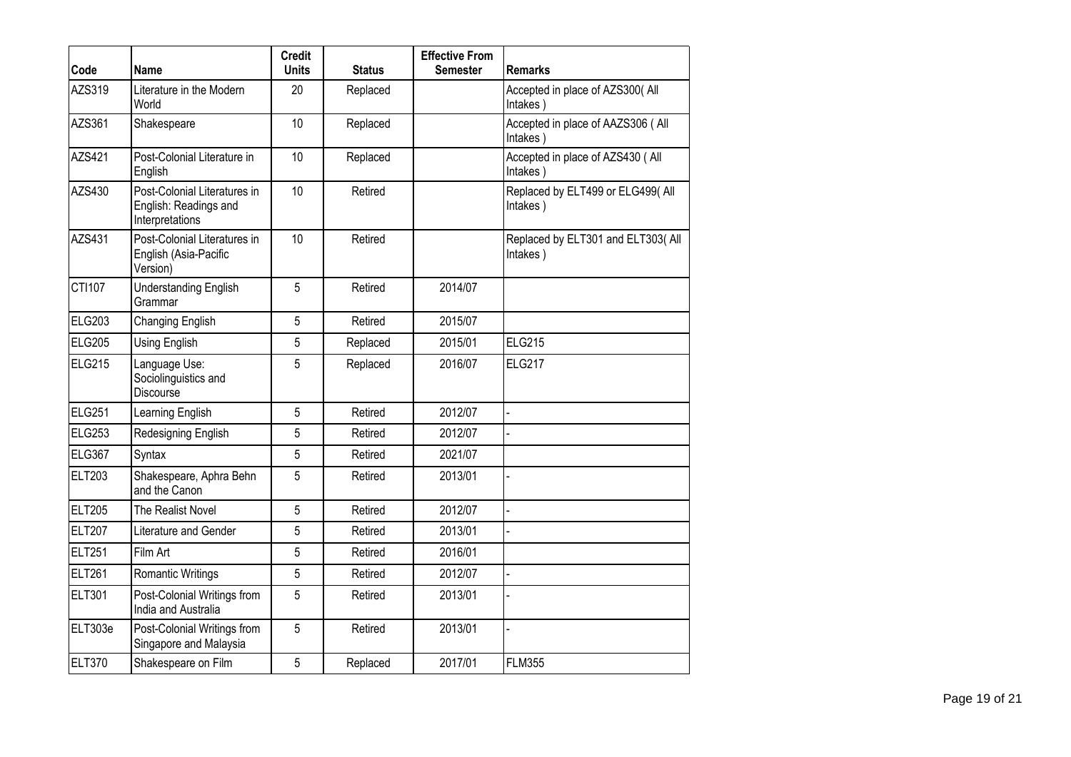| Code               | <b>Name</b>                                                              | <b>Credit</b><br><b>Units</b> | <b>Status</b> | <b>Effective From</b><br><b>Semester</b> | <b>Remarks</b>                                 |
|--------------------|--------------------------------------------------------------------------|-------------------------------|---------------|------------------------------------------|------------------------------------------------|
| AZS319             | Literature in the Modern                                                 | 20                            |               |                                          |                                                |
|                    | World                                                                    |                               | Replaced      |                                          | Accepted in place of AZS300( All<br>Intakes)   |
| AZS361             | Shakespeare                                                              | 10                            | Replaced      |                                          | Accepted in place of AAZS306 (All<br>Intakes)  |
| <b>AZS421</b>      | Post-Colonial Literature in<br>English                                   | 10                            | Replaced      |                                          | Accepted in place of AZS430 (All<br>Intakes)   |
| AZS430             | Post-Colonial Literatures in<br>English: Readings and<br>Interpretations | 10                            | Retired       |                                          | Replaced by ELT499 or ELG499(All<br>Intakes)   |
| <b>AZS431</b>      | Post-Colonial Literatures in<br>English (Asia-Pacific<br>Version)        | 10                            | Retired       |                                          | Replaced by ELT301 and ELT303( All<br>Intakes) |
| CTI107             | <b>Understanding English</b><br>Grammar                                  | 5                             | Retired       | 2014/07                                  |                                                |
| <b>ELG203</b>      | Changing English                                                         | 5                             | Retired       | 2015/07                                  |                                                |
| <b>ELG205</b>      | Using English                                                            | 5                             | Replaced      | 2015/01                                  | <b>ELG215</b>                                  |
| <b>ELG215</b>      | Language Use:<br>Sociolinguistics and<br>Discourse                       | 5                             | Replaced      | 2016/07                                  | <b>ELG217</b>                                  |
| ELG <sub>251</sub> | Learning English                                                         | 5                             | Retired       | 2012/07                                  |                                                |
| <b>ELG253</b>      | Redesigning English                                                      | 5                             | Retired       | 2012/07                                  |                                                |
| <b>ELG367</b>      | Syntax                                                                   | 5                             | Retired       | 2021/07                                  |                                                |
| <b>ELT203</b>      | Shakespeare, Aphra Behn<br>and the Canon                                 | 5                             | Retired       | 2013/01                                  |                                                |
| <b>ELT205</b>      | The Realist Novel                                                        | 5                             | Retired       | 2012/07                                  |                                                |
| <b>ELT207</b>      | Literature and Gender                                                    | 5                             | Retired       | 2013/01                                  |                                                |
| <b>ELT251</b>      | Film Art                                                                 | 5                             | Retired       | 2016/01                                  |                                                |
| <b>ELT261</b>      | <b>Romantic Writings</b>                                                 | 5                             | Retired       | 2012/07                                  |                                                |
| <b>ELT301</b>      | Post-Colonial Writings from<br>India and Australia                       | 5                             | Retired       | 2013/01                                  |                                                |
| ELT303e            | Post-Colonial Writings from<br>Singapore and Malaysia                    | 5                             | Retired       | 2013/01                                  |                                                |
| <b>ELT370</b>      | Shakespeare on Film                                                      | 5                             | Replaced      | 2017/01                                  | <b>FLM355</b>                                  |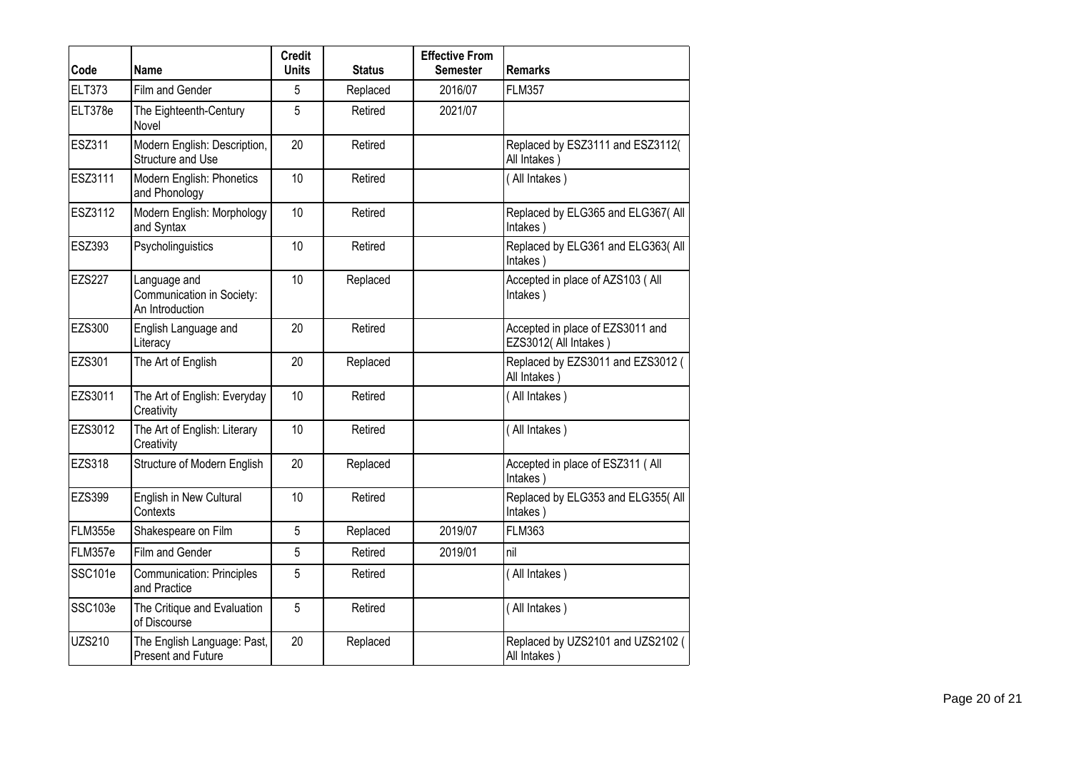| Code          | <b>Name</b>                                                  | <b>Credit</b><br><b>Units</b> | <b>Status</b> | <b>Effective From</b><br><b>Semester</b> | <b>Remarks</b>                                           |
|---------------|--------------------------------------------------------------|-------------------------------|---------------|------------------------------------------|----------------------------------------------------------|
| <b>ELT373</b> | Film and Gender                                              | 5                             | Replaced      | 2016/07                                  | <b>FLM357</b>                                            |
| ELT378e       | The Eighteenth-Century<br>Novel                              | 5                             | Retired       | 2021/07                                  |                                                          |
| <b>ESZ311</b> | Modern English: Description,<br>Structure and Use            | 20                            | Retired       |                                          | Replaced by ESZ3111 and ESZ3112(<br>All Intakes)         |
| ESZ3111       | Modern English: Phonetics<br>and Phonology                   | 10                            | Retired       |                                          | (All Intakes)                                            |
| ESZ3112       | Modern English: Morphology<br>and Syntax                     | 10                            | Retired       |                                          | Replaced by ELG365 and ELG367( All<br>Intakes)           |
| ESZ393        | Psycholinguistics                                            | 10                            | Retired       |                                          | Replaced by ELG361 and ELG363( All<br>Intakes)           |
| <b>EZS227</b> | Language and<br>Communication in Society:<br>An Introduction | 10                            | Replaced      |                                          | Accepted in place of AZS103 ( All<br>Intakes)            |
| <b>EZS300</b> | English Language and<br>Literacy                             | 20                            | Retired       |                                          | Accepted in place of EZS3011 and<br>EZS3012(All Intakes) |
| <b>EZS301</b> | The Art of English                                           | 20                            | Replaced      |                                          | Replaced by EZS3011 and EZS3012 (<br>All Intakes)        |
| EZS3011       | The Art of English: Everyday<br>Creativity                   | 10                            | Retired       |                                          | (All Intakes)                                            |
| EZS3012       | The Art of English: Literary<br>Creativity                   | 10                            | Retired       |                                          | (All Intakes)                                            |
| EZS318        | Structure of Modern English                                  | 20                            | Replaced      |                                          | Accepted in place of ESZ311 ( All<br>Intakes)            |
| <b>EZS399</b> | English in New Cultural<br>Contexts                          | 10                            | Retired       |                                          | Replaced by ELG353 and ELG355( All<br>Intakes)           |
| FLM355e       | Shakespeare on Film                                          | 5                             | Replaced      | 2019/07                                  | <b>FLM363</b>                                            |
| FLM357e       | Film and Gender                                              | 5                             | Retired       | 2019/01                                  | nil                                                      |
| SSC101e       | <b>Communication: Principles</b><br>and Practice             | 5                             | Retired       |                                          | (All Intakes)                                            |
| SSC103e       | The Critique and Evaluation<br>of Discourse                  | 5                             | Retired       |                                          | (All Intakes)                                            |
| <b>UZS210</b> | The English Language: Past,<br><b>Present and Future</b>     | 20                            | Replaced      |                                          | Replaced by UZS2101 and UZS2102 (<br>All Intakes)        |